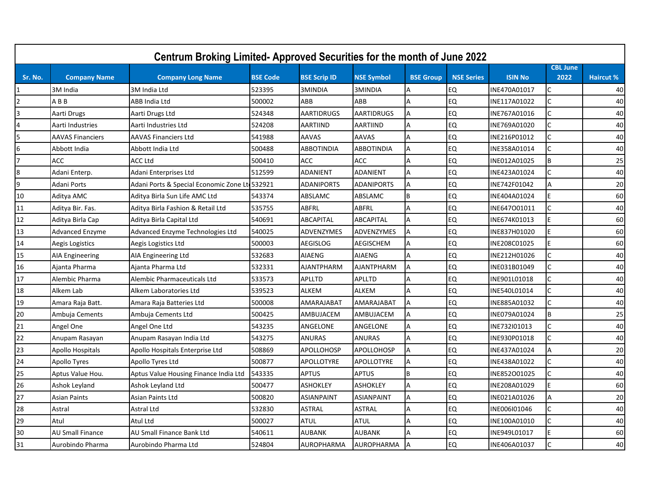|         |                         | Centrum Broking Limited- Approved Securities for the month of June 2022 |                 |                     |                   |                  |                   |                |                         |                  |
|---------|-------------------------|-------------------------------------------------------------------------|-----------------|---------------------|-------------------|------------------|-------------------|----------------|-------------------------|------------------|
| Sr. No. | <b>Company Name</b>     | <b>Company Long Name</b>                                                | <b>BSE Code</b> | <b>BSE Scrip ID</b> | <b>NSE Symbol</b> | <b>BSE Group</b> | <b>NSE Series</b> | <b>ISIN No</b> | <b>CBL June</b><br>2022 | <b>Haircut %</b> |
|         | 3M India                | 3M India Ltd                                                            | 523395          | 3MINDIA             | 3MINDIA           | Α                | EQ                | INE470A01017   | C                       | 40               |
|         | ABB                     | ABB India Ltd                                                           | 500002          | ABB                 | ABB               | А                | EQ                | INE117A01022   | C                       | 40               |
|         | Aarti Drugs             | Aarti Drugs Ltd                                                         | 524348          | AARTIDRUGS          | <b>AARTIDRUGS</b> | A                | <b>EQ</b>         | INE767A01016   | $\mathsf{C}$            | 40               |
|         | Aarti Industries        | Aarti Industries Ltd                                                    | 524208          | <b>AARTIIND</b>     | <b>AARTIIND</b>   | A                | <b>EQ</b>         | INE769A01020   | $\mathsf{C}$            | 40               |
|         | <b>AAVAS Financiers</b> | AAVAS Financiers Ltd                                                    | 541988          | <b>AAVAS</b>        | AAVAS             | A                | <b>EQ</b>         | INE216P01012   | $\mathsf{C}$            | 40               |
| 6       | Abbott India            | Abbott India Ltd                                                        | 500488          | <b>ABBOTINDIA</b>   | ABBOTINDIA        |                  | EQ                | INE358A01014   |                         | 40               |
|         | ACC                     | <b>ACC Ltd</b>                                                          | 500410          | <b>ACC</b>          | <b>ACC</b>        | A                | EQ                | INE012A01025   | B                       | 25               |
| 8       | Adani Enterp.           | Adani Enterprises Ltd                                                   | 512599          | <b>ADANIENT</b>     | <b>ADANIENT</b>   | A                | <b>EQ</b>         | INE423A01024   | $\mathsf{C}$            | 40               |
| 9       | Adani Ports             | Adani Ports & Special Economic Zone Lt 532921                           |                 | <b>ADANIPORTS</b>   | <b>ADANIPORTS</b> | A                | EQ                | INE742F01042   | A                       | 20               |
| 10      | Aditya AMC              | Aditya Birla Sun Life AMC Ltd                                           | 543374          | ABSLAMC             | ABSLAMC           | B                | <b>EQ</b>         | INE404A01024   | E                       | 60               |
| $11\,$  | Aditya Bir. Fas.        | Aditya Birla Fashion & Retail Ltd                                       | 535755          | ABFRL               | ABFRL             | A                | EQ                | INE647001011   | C                       | 40               |
| 12      | Aditya Birla Cap        | Aditya Birla Capital Ltd                                                | 540691          | ABCAPITAL           | ABCAPITAL         | Α                | EQ                | INE674K01013   | E                       | 60               |
| 13      | <b>Advanced Enzyme</b>  | Advanced Enzyme Technologies Ltd                                        | 540025          | ADVENZYMES          | ADVENZYMES        | A                | <b>EQ</b>         | INE837H01020   | E                       | 60               |
| 14      | Aegis Logistics         | Aegis Logistics Ltd                                                     | 500003          | <b>AEGISLOG</b>     | <b>AEGISCHEM</b>  | А                | EQ                | INE208C01025   | F                       | 60               |
| 15      | <b>AIA Engineering</b>  | AIA Engineering Ltd                                                     | 532683          | <b>AIAENG</b>       | AIAENG            | А                | EQ                | INE212H01026   | C                       | 40               |
| 16      | Ajanta Pharma           | Ajanta Pharma Ltd                                                       | 532331          | <b>AJANTPHARM</b>   | <b>AJANTPHARM</b> | $\overline{A}$   | <b>EQ</b>         | INE031B01049   | $\mathsf{C}$            | 40               |
| 17      | Alembic Pharma          | Alembic Pharmaceuticals Ltd                                             | 533573          | APLLTD              | APLLTD            | A                | <b>EQ</b>         | INE901L01018   |                         | 40               |
| 18      | Alkem Lab               | Alkem Laboratories Ltd                                                  | 539523          | <b>ALKEM</b>        | <b>ALKEM</b>      | A                | EQ                | INE540L01014   | C                       | 40               |
| 19      | Amara Raja Batt.        | Amara Raja Batteries Ltd                                                | 500008          | AMARAJABAT          | AMARAJABAT        | A                | <b>EQ</b>         | INE885A01032   | $\mathsf{C}$            | 40               |
| 20      | Ambuja Cements          | Ambuja Cements Ltd                                                      | 500425          | AMBUJACEM           | AMBUJACEM         | A                | EQ                | INE079A01024   | B                       | 25               |
| 21      | Angel One               | Angel One Ltd                                                           | 543235          | ANGELONE            | ANGELONE          | А                | EQ                | INE732I01013   | C                       | 40               |
| 22      | Anupam Rasayan          | Anupam Rasayan India Ltd                                                | 543275          | <b>ANURAS</b>       | ANURAS            | $\overline{A}$   | EQ                | INE930P01018   | $\mathsf{C}$            | 40               |
| 23      | Apollo Hospitals        | Apollo Hospitals Enterprise Ltd                                         | 508869          | APOLLOHOSP          | <b>APOLLOHOSP</b> | A                | EQ                | INE437A01024   | Α                       | 20               |
| 24      | <b>Apollo Tyres</b>     | Apollo Tyres Ltd                                                        | 500877          | APOLLOTYRE          | APOLLOTYRE        | Α                | EQ                | INE438A01022   | C                       | 40               |
| 25      | Aptus Value Hou.        | Aptus Value Housing Finance India Ltd                                   | 543335          | <b>APTUS</b>        | <b>APTUS</b>      | <sub>R</sub>     | EQ                | INE852001025   | $\mathsf{C}$            | 40               |
| 26      | Ashok Leyland           | Ashok Leyland Ltd                                                       | 500477          | <b>ASHOKLEY</b>     | <b>ASHOKLEY</b>   | Α                | EQ                | INE208A01029   | F                       | 60               |
| 27      | Asian Paints            | Asian Paints Ltd                                                        | 500820          | <b>ASIANPAINT</b>   | <b>ASIANPAINT</b> | A                | EQ                | INE021A01026   | A                       | 20               |
| 28      | Astral                  | Astral Ltd                                                              | 532830          | <b>ASTRAL</b>       | ASTRAL            | $\overline{A}$   | EQ                | INE006I01046   | $\mathsf{C}$            | 40               |
| 29      | Atul                    | Atul Ltd                                                                | 500027          | <b>ATUL</b>         | <b>ATUL</b>       |                  | <b>EQ</b>         | INE100A01010   | $\mathsf{C}$            | 40               |
| 30      | <b>AU Small Finance</b> | <b>AU Small Finance Bank Ltd</b>                                        | 540611          | <b>AUBANK</b>       | <b>AUBANK</b>     |                  | <b>EQ</b>         | INE949L01017   | E                       | 60               |
| 31      | Aurobindo Pharma        | Aurobindo Pharma Ltd                                                    | 524804          | <b>AUROPHARMA</b>   | <b>AUROPHARMA</b> |                  | <b>EQ</b>         | INE406A01037   | $\mathsf{C}$            | 40               |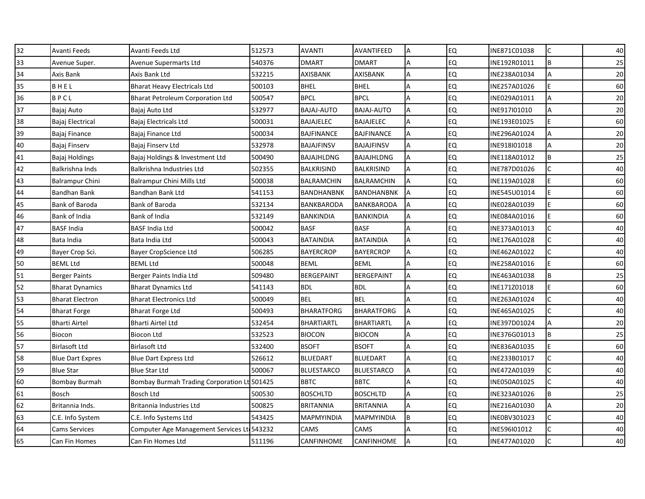| 32 | Avanti Feeds            | Avanti Feeds Ltd                           | 512573   | <b>AVANTI</b>     | AVANTIFEED        | A | <b>EQ</b> | INE871C01038 | $\mathsf{C}$ | 40 |
|----|-------------------------|--------------------------------------------|----------|-------------------|-------------------|---|-----------|--------------|--------------|----|
| 33 | Avenue Super.           | Avenue Supermarts Ltd                      | 540376   | <b>DMART</b>      | <b>DMART</b>      | A | <b>EQ</b> | INE192R01011 | B            | 25 |
| 34 | Axis Bank               | Axis Bank Ltd                              | 532215   | AXISBANK          | AXISBANK          | A | EQ        | INE238A01034 | A            | 20 |
| 35 | BHEL                    | <b>Bharat Heavy Electricals Ltd</b>        | 500103   | <b>BHEL</b>       | <b>BHEL</b>       | А | <b>EQ</b> | INE257A01026 | E            | 60 |
| 36 | BPCL                    | <b>Bharat Petroleum Corporation Ltd</b>    | 500547   | <b>BPCL</b>       | <b>BPCL</b>       | A | <b>EQ</b> | INE029A01011 | A            | 20 |
| 37 | Bajaj Auto              | Bajaj Auto Ltd                             | 532977   | BAJAJ-AUTO        | <b>BAJAJ-AUTO</b> |   | <b>EQ</b> | INE917I01010 | A            | 20 |
| 38 | Bajaj Electrical        | Bajaj Electricals Ltd                      | 500031   | <b>BAJAJELEC</b>  | <b>BAJAJELEC</b>  | A | <b>EQ</b> | INE193E01025 | E            | 60 |
| 39 | Bajaj Finance           | Bajaj Finance Ltd                          | 500034   | <b>BAJFINANCE</b> | <b>BAJFINANCE</b> | A | EQ        | INE296A01024 | A            | 20 |
| 40 | <b>Bajaj Finserv</b>    | Bajaj Finserv Ltd                          | 532978   | <b>BAJAJFINSV</b> | <b>BAJAJFINSV</b> | A | EQ        | INE918I01018 | A            | 20 |
| 41 | Bajaj Holdings          | Bajaj Holdings & Investment Ltd            | 500490   | BAJAJHLDNG        | BAJAJHLDNG        | A | <b>EQ</b> | INE118A01012 | B            | 25 |
| 42 | Balkrishna Inds         | Balkrishna Industries Ltd                  | 502355   | BALKRISIND        | <b>BALKRISIND</b> |   | EQ        | INE787D01026 |              | 40 |
| 43 | <b>Balrampur Chini</b>  | Balrampur Chini Mills Ltd                  | 500038   | <b>BALRAMCHIN</b> | <b>BALRAMCHIN</b> | A | EQ        | INE119A01028 | E            | 60 |
| 44 | <b>Bandhan Bank</b>     | Bandhan Bank Ltd                           | 541153   | <b>BANDHANBNK</b> | <b>BANDHANBNK</b> |   | <b>EQ</b> | INE545U01014 | E            | 60 |
| 45 | <b>Bank of Baroda</b>   | Bank of Baroda                             | 532134   | BANKBARODA        | BANKBARODA        | A | EQ        | INE028A01039 | F            | 60 |
| 46 | Bank of India           | Bank of India                              | 532149   | <b>BANKINDIA</b>  | <b>BANKINDIA</b>  | A | <b>EQ</b> | INE084A01016 | E            | 60 |
| 47 | <b>BASF India</b>       | BASF India Ltd                             | 500042   | <b>BASF</b>       | <b>BASF</b>       | A | <b>EQ</b> | INE373A01013 |              | 40 |
| 48 | Bata India              | Bata India Ltd                             | 500043   | <b>BATAINDIA</b>  | <b>BATAINDIA</b>  | Α | EQ        | INE176A01028 | C            | 40 |
| 49 | Bayer Crop Sci.         | Bayer CropScience Ltd                      | 506285   | <b>BAYERCROP</b>  | <b>BAYERCROP</b>  | A | <b>EQ</b> | INE462A01022 | $\mathsf{C}$ | 40 |
| 50 | <b>BEML Ltd</b>         | <b>BEML Ltd</b>                            | 500048   | <b>BEML</b>       | <b>BEML</b>       | A | <b>EQ</b> | INE258A01016 | F            | 60 |
| 51 | <b>Berger Paints</b>    | Berger Paints India Ltd                    | 509480   | <b>BERGEPAINT</b> | <b>BERGEPAINT</b> | A | EQ        | INE463A01038 | B            | 25 |
| 52 | <b>Bharat Dynamics</b>  | <b>Bharat Dynamics Ltd</b>                 | 541143   | <b>BDL</b>        | <b>BDL</b>        |   | <b>EQ</b> | INE171Z01018 |              | 60 |
| 53 | <b>Bharat Electron</b>  | <b>Bharat Electronics Ltd</b>              | 500049   | <b>BEL</b>        | <b>BEL</b>        | Α | EQ        | INE263A01024 | C            | 40 |
| 54 | <b>Bharat Forge</b>     | <b>Bharat Forge Ltd</b>                    | 500493   | <b>BHARATFORG</b> | <b>BHARATFORG</b> | A | <b>EQ</b> | INE465A01025 | $\mathsf{C}$ | 40 |
| 55 | <b>Bharti Airtel</b>    | <b>Bharti Airtel Ltd</b>                   | 532454   | <b>BHARTIARTL</b> | <b>BHARTIARTL</b> | Α | <b>EQ</b> | INE397D01024 | A            | 20 |
| 56 | Biocon                  | <b>Biocon Ltd</b>                          | 532523   | <b>BIOCON</b>     | <b>BIOCON</b>     | A | EQ        | INE376G01013 | B            | 25 |
| 57 | <b>Birlasoft Ltd</b>    | <b>Birlasoft Ltd</b>                       | 532400   | <b>BSOFT</b>      | <b>BSOFT</b>      | A | EQ        | INE836A01035 | F            | 60 |
| 58 | <b>Blue Dart Expres</b> | <b>Blue Dart Express Ltd</b>               | 526612   | <b>BLUEDART</b>   | <b>BLUEDART</b>   | A | <b>EQ</b> | INE233B01017 | C            | 40 |
| 59 | <b>Blue Star</b>        | <b>Blue Star Ltd</b>                       | 500067   | <b>BLUESTARCO</b> | <b>BLUESTARCO</b> | A | <b>EQ</b> | INE472A01039 | $\mathsf{C}$ | 40 |
| 60 | <b>Bombay Burmah</b>    | <b>Bombay Burmah Trading Corporation L</b> | t 501425 | <b>BBTC</b>       | <b>BBTC</b>       | A | <b>EQ</b> | INE050A01025 |              | 40 |
| 61 | <b>Bosch</b>            | Bosch Ltd                                  | 500530   | <b>BOSCHLTD</b>   | <b>BOSCHLTD</b>   | A | <b>EQ</b> | INE323A01026 | B            | 25 |
| 62 | Britannia Inds.         | Britannia Industries Ltd                   | 500825   | <b>BRITANNIA</b>  | <b>BRITANNIA</b>  | A | <b>EQ</b> | INE216A01030 | A            | 20 |
| 63 | C.E. Info System        | C.E. Info Systems Ltd                      | 543425   | MAPMYINDIA        | MAPMYINDIA        | B | <b>EQ</b> | INE0BV301023 | C            | 40 |
| 64 | <b>Cams Services</b>    | Computer Age Management Services L         | t 543232 | CAMS              | CAMS              |   | <b>EQ</b> | INE596101012 | C            | 40 |
| 65 | Can Fin Homes           | Can Fin Homes Ltd                          | 511196   | CANFINHOME        | <b>CANFINHOME</b> |   | EQ        | INE477A01020 |              | 40 |
|    |                         |                                            |          |                   |                   |   |           |              |              |    |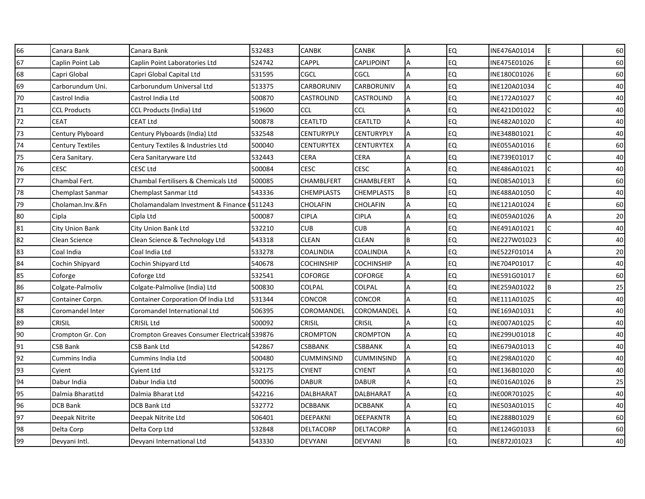| 66 | Canara Bank             | Canara Bank                                  | 532483  | CANBK             | CANBK             | Α | <b>EQ</b> | INE476A01014 | E            | 60 |
|----|-------------------------|----------------------------------------------|---------|-------------------|-------------------|---|-----------|--------------|--------------|----|
| 67 | Caplin Point Lab        | Caplin Point Laboratories Ltd                | 524742  | CAPPL             | <b>CAPLIPOINT</b> | Α | <b>EQ</b> | INE475E01026 | E            | 60 |
| 68 | Capri Global            | Capri Global Capital Ltd                     | 531595  | CGCL              | CGCL              | Α | <b>EQ</b> | INE180C01026 | F            | 60 |
| 69 | Carborundum Uni.        | Carborundum Universal Ltd                    | 513375  | CARBORUNIV        | CARBORUNIV        | Α | <b>EQ</b> | INE120A01034 | $\mathsf{C}$ | 40 |
| 70 | Castrol India           | Castrol India Ltd                            | 500870  | CASTROLIND        | CASTROLIND        | А | EQ        | INE172A01027 |              | 40 |
| 71 | <b>CCL Products</b>     | CCL Products (India) Ltd                     | 519600  | <b>CCL</b>        | <b>CCL</b>        | Α | <b>EQ</b> | INE421D01022 |              | 40 |
| 72 | <b>CEAT</b>             | <b>CEAT Ltd</b>                              | 500878  | CEATLTD           | <b>CEATLTD</b>    | Α | <b>EQ</b> | INE482A01020 | $\mathsf{C}$ | 40 |
| 73 | Century Plyboard        | Century Plyboards (India) Ltd                | 532548  | CENTURYPLY        | CENTURYPLY        | A | <b>EQ</b> | INE348B01021 |              | 40 |
| 74 | <b>Century Textiles</b> | Century Textiles & Industries Ltd            | 500040  | CENTURYTEX        | <b>CENTURYTEX</b> | А | <b>EQ</b> | INE055A01016 | F            | 60 |
| 75 | Cera Sanitary.          | Cera Sanitaryware Ltd                        | 532443  | CERA              | CERA              | A | <b>EQ</b> | INE739E01017 | C            | 40 |
| 76 | CESC                    | <b>CESC Ltd</b>                              | 500084  | CESC              | <b>CESC</b>       | А | EQ        | INE486A01021 |              | 40 |
| 77 | Chambal Fert.           | Chambal Fertilisers & Chemicals Ltd          | 500085  | CHAMBLFERT        | CHAMBLFERT        | A | <b>EQ</b> | INE085A01013 | F            | 60 |
| 78 | <b>Chemplast Sanmar</b> | Chemplast Sanmar Ltd                         | 543336  | <b>CHEMPLASTS</b> | <b>CHEMPLASTS</b> | B | <b>EQ</b> | INE488A01050 | $\mathsf{C}$ | 40 |
| 79 | Cholaman.Inv.&Fn        | Cholamandalam Investment & Finance           | 0511243 | <b>CHOLAFIN</b>   | <b>CHOLAFIN</b>   | Α | EQ        | INE121A01024 | F            | 60 |
| 80 | Cipla                   | Cipla Ltd                                    | 500087  | <b>CIPLA</b>      | <b>CIPLA</b>      | Α | EQ        | INE059A01026 | A            | 20 |
| 81 | City Union Bank         | City Union Bank Ltd                          | 532210  | <b>CUB</b>        | <b>CUB</b>        | Α | <b>EQ</b> | INE491A01021 |              | 40 |
| 82 | Clean Science           | Clean Science & Technology Ltd               | 543318  | <b>CLEAN</b>      | CLEAN             | B | <b>EQ</b> | INE227W01023 | C            | 40 |
| 83 | Coal India              | Coal India Ltd                               | 533278  | COALINDIA         | COALINDIA         | А | <b>EQ</b> | INE522F01014 | A            | 20 |
| 84 | Cochin Shipyard         | Cochin Shipyard Ltd                          | 540678  | <b>COCHINSHIP</b> | <b>COCHINSHIP</b> | А | <b>EQ</b> | INE704P01017 |              | 40 |
| 85 | Coforge                 | Coforge Ltd                                  | 532541  | COFORGE           | COFORGE           | Α | EQ        | INE591G01017 | E            | 60 |
| 86 | Colgate-Palmoliv        | Colgate-Palmolive (India) Ltd                | 500830  | COLPAL            | COLPAL            | Α | <b>EQ</b> | INE259A01022 | B            | 25 |
| 87 | Container Corpn.        | <b>Container Corporation Of India Ltd</b>    | 531344  | CONCOR            | CONCOR            | A | <b>EQ</b> | INE111A01025 | C            | 40 |
| 88 | Coromandel Inter        | Coromandel International Ltd                 | 506395  | COROMANDEL        | COROMANDEL        | A | <b>EQ</b> | INE169A01031 | $\mathsf{C}$ | 40 |
| 89 | <b>CRISIL</b>           | CRISIL Ltd                                   | 500092  | <b>CRISIL</b>     | <b>CRISIL</b>     | Α | <b>EQ</b> | INE007A01025 |              | 40 |
| 90 | Crompton Gr. Con        | Crompton Greaves Consumer Electricals 539876 |         | CROMPTON          | <b>CROMPTON</b>   | Α | <b>EQ</b> | INE299U01018 | C            | 40 |
| 91 | CSB Bank                | CSB Bank Ltd                                 | 542867  | CSBBANK           | CSBBANK           | А | <b>EQ</b> | INE679A01013 | $\mathsf{C}$ | 40 |
| 92 | Cummins India           | Cummins India Ltd                            | 500480  | CUMMINSIND        | <b>CUMMINSIND</b> | А | <b>EQ</b> | INE298A01020 | $\mathsf{C}$ | 40 |
| 93 | Cyient                  | <b>Cyient Ltd</b>                            | 532175  | <b>CYIENT</b>     | <b>CYIENT</b>     | А | <b>EQ</b> | INE136B01020 | $\mathsf{C}$ | 40 |
| 94 | Dabur India             | Dabur India Ltd                              | 500096  | <b>DABUR</b>      | <b>DABUR</b>      | Α | <b>EQ</b> | INE016A01026 | B            | 25 |
| 95 | Dalmia BharatLtd        | Dalmia Bharat Ltd                            | 542216  | DALBHARAT         | DALBHARAT         | А | EQ        | INE00R701025 | $\mathsf{C}$ | 40 |
| 96 | <b>DCB Bank</b>         | DCB Bank Ltd                                 | 532772  | <b>DCBBANK</b>    | <b>DCBBANK</b>    | А | <b>EQ</b> | INE503A01015 | $\mathsf{C}$ | 40 |
| 97 | Deepak Nitrite          | Deepak Nitrite Ltd                           | 506401  | DEEPAKNI          | <b>DEEPAKNTR</b>  | А | <b>EQ</b> | INE288B01029 | E            | 60 |
| 98 | Delta Corp              | Delta Corp Ltd                               | 532848  | <b>DELTACORP</b>  | <b>DELTACORP</b>  | Α | <b>EQ</b> | INE124G01033 | E            | 60 |
| 99 | Devyani Intl.           | Devyani International Ltd                    | 543330  | <b>DEVYANI</b>    | <b>DEVYANI</b>    | B | <b>EQ</b> | INE872J01023 |              | 40 |
|    |                         |                                              |         |                   |                   |   |           |              |              |    |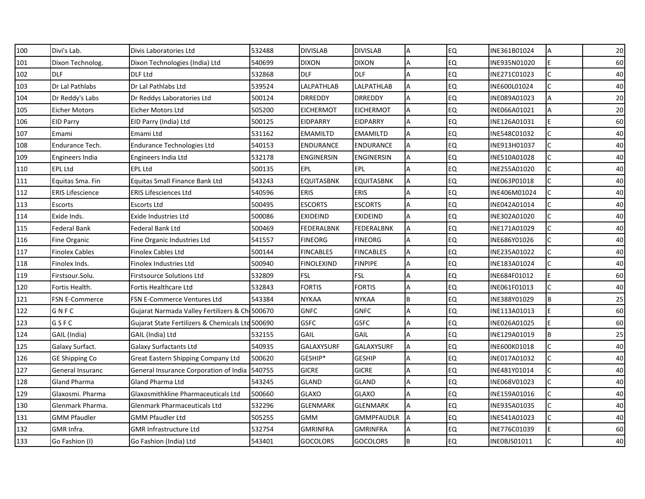| 100 | Divi's Lab.             | Divis Laboratories Ltd                           | 532488 | <b>DIVISLAB</b>   | <b>DIVISLAB</b>   | Α  | <b>EQ</b> | INE361B01024 | А            | 20 |
|-----|-------------------------|--------------------------------------------------|--------|-------------------|-------------------|----|-----------|--------------|--------------|----|
| 101 | Dixon Technolog.        | Dixon Technologies (India) Ltd                   | 540699 | <b>DIXON</b>      | <b>DIXON</b>      | A  | <b>EQ</b> | INE935N01020 | E            | 60 |
| 102 | <b>DLF</b>              | DLF Ltd                                          | 532868 | <b>DLF</b>        | <b>DLF</b>        | A  | <b>EQ</b> | INE271C01023 | C            | 40 |
| 103 | Dr Lal Pathlabs         | Dr Lal Pathlabs Ltd                              | 539524 | LALPATHLAB        | LALPATHLAB        | A  | <b>EQ</b> | INE600L01024 | C            | 40 |
| 104 | Dr Reddy's Labs         | Dr Reddys Laboratories Ltd                       | 500124 | DRREDDY           | <b>DRREDDY</b>    | A  | <b>EQ</b> | INE089A01023 | A            | 20 |
| 105 | <b>Eicher Motors</b>    | Eicher Motors Ltd                                | 505200 | <b>EICHERMOT</b>  | <b>EICHERMOT</b>  | A  | <b>EQ</b> | INE066A01021 | A            | 20 |
| 106 | <b>EID Parry</b>        | EID Parry (India) Ltd                            | 500125 | <b>EIDPARRY</b>   | <b>EIDPARRY</b>   | A  | <b>EQ</b> | INE126A01031 | E            | 60 |
| 107 | Emami                   | Emami Ltd                                        | 531162 | <b>EMAMILTD</b>   | <b>EMAMILTD</b>   | А  | <b>EQ</b> | INE548C01032 | $\mathsf{C}$ | 40 |
| 108 | Endurance Tech.         | <b>Endurance Technologies Ltd</b>                | 540153 | <b>ENDURANCE</b>  | <b>ENDURANCE</b>  | Α  | <b>EQ</b> | INE913H01037 | C            | 40 |
| 109 | <b>Engineers India</b>  | Engineers India Ltd                              | 532178 | <b>ENGINERSIN</b> | <b>ENGINERSIN</b> | A  | <b>EQ</b> | INE510A01028 | $\mathsf{C}$ | 40 |
| 110 | <b>EPL Ltd</b>          | EPL Ltd                                          | 500135 | EPL               | <b>EPL</b>        | A  | <b>EQ</b> | INE255A01020 |              | 40 |
| 111 | Equitas Sma. Fin        | <b>Equitas Small Finance Bank Ltd</b>            | 543243 | <b>EQUITASBNK</b> | <b>EQUITASBNK</b> | A  | <b>EQ</b> | INE063P01018 | C            | 40 |
| 112 | <b>ERIS Lifescience</b> | <b>ERIS Lifesciences Ltd</b>                     | 540596 | <b>ERIS</b>       | <b>ERIS</b>       | A  | <b>EQ</b> | INE406M01024 | C            | 40 |
| 113 | Escorts                 | <b>Escorts Ltd</b>                               | 500495 | <b>ESCORTS</b>    | <b>ESCORTS</b>    | A  | EQ        | INE042A01014 | C            | 40 |
| 114 | Exide Inds.             | Exide Industries Ltd                             | 500086 | <b>EXIDEIND</b>   | <b>EXIDEIND</b>   | A  | <b>EQ</b> | INE302A01020 | C            | 40 |
| 115 | Federal Bank            | Federal Bank Ltd                                 | 500469 | FEDERALBNK        | FEDERALBNK        | A  | EQ        | INE171A01029 | $\mathsf{C}$ | 40 |
| 116 | Fine Organic            | Fine Organic Industries Ltd                      | 541557 | <b>FINEORG</b>    | <b>FINEORG</b>    | A  | <b>EQ</b> | INE686Y01026 | C            | 40 |
| 117 | <b>Finolex Cables</b>   | <b>Finolex Cables Ltd</b>                        | 500144 | <b>FINCABLES</b>  | <b>FINCABLES</b>  | A  | <b>EQ</b> | INE235A01022 | $\mathsf{C}$ | 40 |
| 118 | Finolex Inds.           | Finolex Industries Ltd                           | 500940 | <b>FINOLEXIND</b> | <b>FINPIPE</b>    | A  | <b>EQ</b> | INE183A01024 |              | 40 |
| 119 | Firstsour.Solu.         | Firstsource Solutions Ltd                        | 532809 | <b>FSL</b>        | <b>FSL</b>        | A  | EQ        | INE684F01012 | E            | 60 |
| 120 | Fortis Health.          | Fortis Healthcare Ltd                            | 532843 | <b>FORTIS</b>     | FORTIS            |    | EQ        | INE061F01013 | C            | 40 |
| 121 | <b>FSN E-Commerce</b>   | FSN E-Commerce Ventures Ltd                      | 543384 | <b>NYKAA</b>      | <b>NYKAA</b>      | B  | <b>EQ</b> | INE388Y01029 | B            | 25 |
| 122 | GNFC                    | Gujarat Narmada Valley Fertilizers & Ch. 500670  |        | <b>GNFC</b>       | <b>GNFC</b>       | A  | <b>EQ</b> | INE113A01013 | E            | 60 |
| 123 | GSFC                    | Gujarat State Fertilizers & Chemicals Ltd 500690 |        | <b>GSFC</b>       | <b>GSFC</b>       |    | <b>EQ</b> | INE026A01025 | F            | 60 |
| 124 | GAIL (India)            | GAIL (India) Ltd                                 | 532155 | GAIL              | GAIL              | A  | <b>EQ</b> | INE129A01019 | B            | 25 |
| 125 | Galaxy Surfact.         | Galaxy Surfactants Ltd                           | 540935 | GALAXYSURF        | GALAXYSURF        | A  | <b>EQ</b> | INE600K01018 | $\mathsf{C}$ | 40 |
| 126 | GE Shipping Co          | Great Eastern Shipping Company Ltd               | 500620 | GESHIP*           | <b>GESHIP</b>     | Α  | <b>EQ</b> | INE017A01032 | C            | 40 |
| 127 | General Insuranc        | General Insurance Corporation of India           | 540755 | <b>GICRE</b>      | <b>GICRE</b>      | А  | <b>EQ</b> | INE481Y01014 | $\mathsf{C}$ | 40 |
| 128 | <b>Gland Pharma</b>     | <b>Gland Pharma Ltd</b>                          | 543245 | <b>GLAND</b>      | GLAND             | A  | <b>EQ</b> | INE068V01023 |              | 40 |
| 129 | Glaxosmi. Pharma        | Glaxosmithkline Pharmaceuticals Ltd              | 500660 | <b>GLAXO</b>      | <b>GLAXO</b>      | A  | <b>EQ</b> | INE159A01016 | C            | 40 |
| 130 | Glenmark Pharma.        | Glenmark Pharmaceuticals Ltd                     | 532296 | <b>GLENMARK</b>   | <b>GLENMARK</b>   | A  | EQ        | INE935A01035 | C            | 40 |
| 131 | <b>GMM Pfaudler</b>     | <b>GMM Pfaudler Ltd</b>                          | 505255 | <b>GMM</b>        | <b>GMMPFAUDLR</b> | ΙA | <b>EQ</b> | INE541A01023 | C            | 40 |
| 132 | GMR Infra.              | <b>GMR Infrastructure Ltd</b>                    | 532754 | <b>GMRINFRA</b>   | <b>GMRINFRA</b>   | A  | <b>EQ</b> | INE776C01039 | E            | 60 |
| 133 | Go Fashion (I)          | Go Fashion (India) Ltd                           | 543401 | <b>GOCOLORS</b>   | <b>GOCOLORS</b>   | ΙB | <b>EQ</b> | INEOBJS01011 |              | 40 |
|     |                         |                                                  |        |                   |                   |    |           |              |              |    |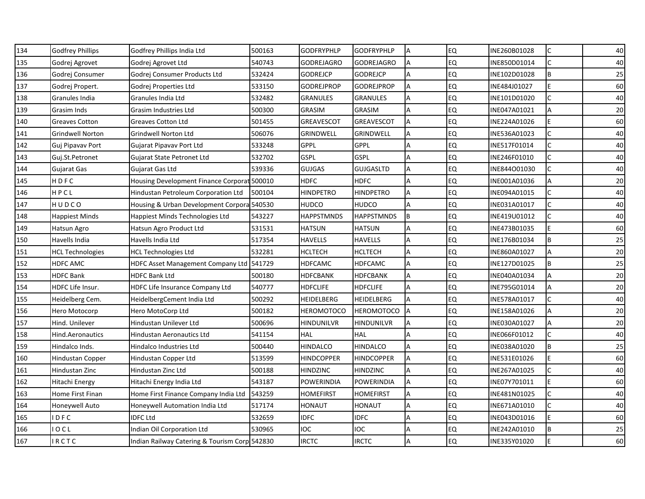| 134 | <b>Godfrey Phillips</b> | Godfrey Phillips India Ltd                    | 500163 | <b>GODFRYPHLP</b> | <b>GODFRYPHLP</b> | A  | <b>EQ</b> | INE260B01028 | $\mathsf{C}$ | 40 |
|-----|-------------------------|-----------------------------------------------|--------|-------------------|-------------------|----|-----------|--------------|--------------|----|
| 135 | Godrej Agrovet          | Godrej Agrovet Ltd                            | 540743 | <b>GODREJAGRO</b> | GODREJAGRO        | A  | <b>EQ</b> | INE850D01014 | C            | 40 |
| 136 | Godrej Consumer         | Godrej Consumer Products Ltd                  | 532424 | <b>GODREJCP</b>   | <b>GODREJCP</b>   | А  | EQ        | INE102D01028 | B            | 25 |
| 137 | Godrej Propert.         | Godrej Properties Ltd                         | 533150 | GODREJPROP        | <b>GODREJPROP</b> | A  | <b>EQ</b> | INE484J01027 | E            | 60 |
| 138 | Granules India          | Granules India Ltd                            | 532482 | <b>GRANULES</b>   | GRANULES          | A  | <b>EQ</b> | INE101D01020 | C            | 40 |
| 139 | Grasim Inds             | Grasim Industries Ltd                         | 500300 | GRASIM            | <b>GRASIM</b>     | Α  | <b>EQ</b> | INE047A01021 | A            | 20 |
| 140 | <b>Greaves Cotton</b>   | <b>Greaves Cotton Ltd</b>                     | 501455 | <b>GREAVESCOT</b> | <b>GREAVESCOT</b> | A  | <b>EQ</b> | INE224A01026 | E            | 60 |
| 141 | <b>Grindwell Norton</b> | <b>Grindwell Norton Ltd</b>                   | 506076 | <b>GRINDWELL</b>  | <b>GRINDWELL</b>  | А  | <b>EQ</b> | INE536A01023 | $\mathsf{C}$ | 40 |
| 142 | Guj Pipavav Port        | Gujarat Pipavav Port Ltd                      | 533248 | GPPL              | <b>GPPL</b>       | A  | <b>EQ</b> | INE517F01014 | $\mathsf{C}$ | 40 |
| 143 | Guj.St.Petronet         | Gujarat State Petronet Ltd                    | 532702 | <b>GSPL</b>       | <b>GSPL</b>       | A  | <b>EQ</b> | INE246F01010 | $\mathsf{C}$ | 40 |
| 144 | Gujarat Gas             | Gujarat Gas Ltd                               | 539336 | <b>GUJGAS</b>     | <b>GUJGASLTD</b>  |    | <b>EQ</b> | INE844001030 | C            | 40 |
| 145 | HDFC                    | Housing Development Finance Corporat 500010   |        | <b>HDFC</b>       | HDFC              | A  | <b>EQ</b> | INE001A01036 | A            | 20 |
| 146 | HPCL                    | Hindustan Petroleum Corporation Ltd           | 500104 | <b>HINDPETRO</b>  | <b>HINDPETRO</b>  | A  | <b>EQ</b> | INE094A01015 | $\mathsf{C}$ | 40 |
| 147 | HUDCO                   | Housing & Urban Development Corpora 540530    |        | <b>HUDCO</b>      | <b>HUDCO</b>      | A  | <b>EQ</b> | INE031A01017 | Ċ            | 40 |
| 148 | Happiest Minds          | Happiest Minds Technologies Ltd               | 543227 | <b>HAPPSTMNDS</b> | <b>HAPPSTMNDS</b> | IΒ | EQ        | INE419U01012 | C            | 40 |
| 149 | Hatsun Agro             | Hatsun Agro Product Ltd                       | 531531 | <b>HATSUN</b>     | HATSUN            | A  | <b>EQ</b> | INE473B01035 | E            | 60 |
| 150 | Havells India           | Havells India Ltd                             | 517354 | HAVELLS           | <b>HAVELLS</b>    | A  | <b>EQ</b> | INE176B01034 | B            | 25 |
| 151 | <b>HCL Technologies</b> | <b>HCL Technologies Ltd</b>                   | 532281 | <b>HCLTECH</b>    | <b>HCLTECH</b>    | A  | <b>EQ</b> | INE860A01027 | A            | 20 |
| 152 | <b>HDFC AMC</b>         | <b>HDFC Asset Management Company Ltd</b>      | 541729 | <b>HDFCAMC</b>    | <b>HDFCAMC</b>    | A  | <b>EQ</b> | INE127D01025 | B            | 25 |
| 153 | <b>HDFC Bank</b>        | <b>HDFC Bank Ltd</b>                          | 500180 | HDFCBANK          | <b>HDFCBANK</b>   | A  | <b>EQ</b> | INE040A01034 | A            | 20 |
| 154 | HDFC Life Insur.        | HDFC Life Insurance Company Ltd               | 540777 | <b>HDFCLIFE</b>   | <b>HDFCLIFE</b>   | A  | <b>EQ</b> | INE795G01014 | Α            | 20 |
| 155 | Heidelberg Cem.         | HeidelbergCement India Ltd                    | 500292 | HEIDELBERG        | HEIDELBERG        | A  | <b>EQ</b> | INE578A01017 | C            | 40 |
| 156 | Hero Motocorp           | Hero MotoCorp Ltd                             | 500182 | <b>HEROMOTOCO</b> | <b>HEROMOTOCO</b> | ΙA | <b>EQ</b> | INE158A01026 | A            | 20 |
| 157 | Hind. Unilever          | Hindustan Unilever Ltd                        | 500696 | <b>HINDUNILVR</b> | HINDUNILVR        |    | <b>EQ</b> | INE030A01027 | A            | 20 |
| 158 | Hind.Aeronautics        | Hindustan Aeronautics Ltd                     | 541154 | <b>HAL</b>        | <b>HAL</b>        | A  | <b>EQ</b> | INE066F01012 | C            | 40 |
| 159 | Hindalco Inds.          | Hindalco Industries Ltd                       | 500440 | HINDALCO          | HINDALCO          | A  | <b>EQ</b> | INE038A01020 | B            | 25 |
| 160 | Hindustan Copper        | Hindustan Copper Ltd                          | 513599 | HINDCOPPER        | HINDCOPPER        | A  | <b>EQ</b> | INE531E01026 | E            | 60 |
| 161 | Hindustan Zinc          | Hindustan Zinc Ltd                            | 500188 | <b>HINDZINC</b>   | <b>HINDZINC</b>   | A  | <b>EQ</b> | INE267A01025 | $\mathsf{C}$ | 40 |
| 162 | Hitachi Energy          | Hitachi Energy India Ltd                      | 543187 | POWERINDIA        | <b>POWERINDIA</b> | A  | <b>EQ</b> | INE07Y701011 | F            | 60 |
| 163 | Home First Finan        | Home First Finance Company India Ltd          | 543259 | HOMEFIRST         | <b>HOMEFIRST</b>  | A  | <b>EQ</b> | INE481N01025 | C            | 40 |
| 164 | Honeywell Auto          | Honeywell Automation India Ltd                | 517174 | HONAUT            | HONAUT            | A  | <b>EQ</b> | INE671A01010 | C            | 40 |
| 165 | DFC                     | <b>IDFC Ltd</b>                               | 532659 | <b>IDFC</b>       | <b>IDFC</b>       | A  | <b>EQ</b> | INE043D01016 | Е            | 60 |
| 166 | OCL                     | Indian Oil Corporation Ltd                    | 530965 | <b>IOC</b>        | <b>IOC</b>        |    | <b>EQ</b> | INE242A01010 | B            | 25 |
| 167 | RCTC                    | Indian Railway Catering & Tourism Corp 542830 |        | <b>IRCTC</b>      | <b>IRCTC</b>      |    | <b>EQ</b> | INE335Y01020 | F            | 60 |
|     |                         |                                               |        |                   |                   |    |           |              |              |    |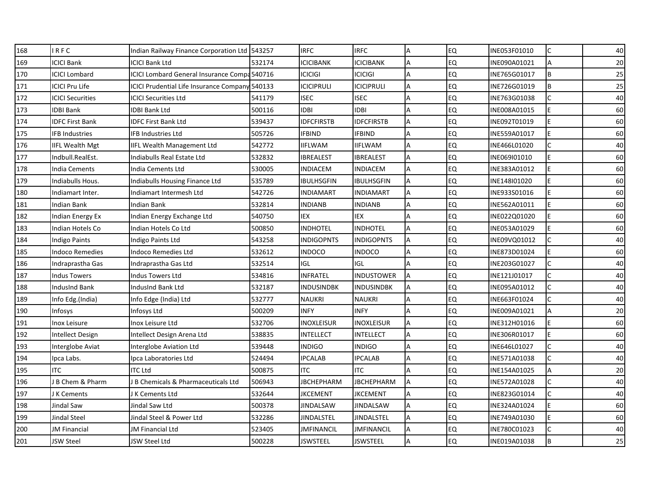| 168 | IRFC                      | Indian Railway Finance Corporation Ltd 543257       |        | <b>IRFC</b>       | <b>IRFC</b>       |   | <b>EQ</b> | INE053F01010 | $\mathsf{C}$   | 40 |
|-----|---------------------------|-----------------------------------------------------|--------|-------------------|-------------------|---|-----------|--------------|----------------|----|
| 169 | <b>ICICI Bank</b>         | <b>ICICI Bank Ltd</b>                               | 532174 | <b>ICICIBANK</b>  | <b>ICICIBANK</b>  | A | <b>EQ</b> | INE090A01021 | $\overline{A}$ | 20 |
| 170 | <b>ICICI Lombard</b>      | <b>ICICI Lombard General Insurance Compa 540716</b> |        | <b>ICICIGI</b>    | <b>ICICIGI</b>    | Α | EQ        | INE765G01017 | B              | 25 |
| 171 | <b>ICICI Pru Life</b>     | ICICI Prudential Life Insurance Company 540133      |        | <b>ICICIPRULI</b> | <b>ICICIPRULI</b> | A | <b>EQ</b> | INE726G01019 | B              | 25 |
| 172 | <b>ICICI Securities</b>   | ICICI Securities Ltd                                | 541179 | <b>ISEC</b>       | <b>ISEC</b>       | Α | <b>EQ</b> | INE763G01038 | $\epsilon$     | 40 |
| 173 | <b>IDBI Bank</b>          | IDBI Bank Ltd                                       | 500116 | <b>IDBI</b>       | IDBI              |   | <b>EQ</b> | INE008A01015 | F              | 60 |
| 174 | <b>IDFC First Bank</b>    | <b>IDFC First Bank Ltd</b>                          | 539437 | <b>IDFCFIRSTB</b> | <b>IDFCFIRSTB</b> | A | EQ        | INE092T01019 | E              | 60 |
| 175 | <b>IFB Industries</b>     | <b>IFB Industries Ltd</b>                           | 505726 | <b>IFBIND</b>     | <b>IFBIND</b>     | A | EQ        | INE559A01017 | E              | 60 |
| 176 | <b>IIFL Wealth Mgt</b>    | <b>IIFL Wealth Management Ltd</b>                   | 542772 | <b>IIFLWAM</b>    | <b>IIFLWAM</b>    | A | EQ        | INE466L01020 |                | 40 |
| 177 | Indbull.RealEst.          | Indiabulls Real Estate Ltd                          | 532832 | IBREALEST         | IBREALEST         | A | EQ        | INE069101010 | F              | 60 |
| 178 | <b>India Cements</b>      | India Cements Ltd                                   | 530005 | INDIACEM          | <b>INDIACEM</b>   | A | <b>EQ</b> | INE383A01012 | E              | 60 |
| 179 | Indiabulls Hous.          | Indiabulls Housing Finance Ltd                      | 535789 | <b>IBULHSGFIN</b> | <b>IBULHSGFIN</b> | A | EQ        | INE148I01020 | E              | 60 |
| 180 | Indiamart Inter.          | Indiamart Intermesh Ltd                             | 542726 | <b>INDIAMART</b>  | <b>INDIAMART</b>  | A | <b>EQ</b> | INE933S01016 | E              | 60 |
| 181 | <b>Indian Bank</b>        | <b>Indian Bank</b>                                  | 532814 | <b>INDIANB</b>    | <b>INDIANB</b>    | A | EQ        | INE562A01011 | F              | 60 |
| 182 | Indian Energy Ex          | Indian Energy Exchange Ltd                          | 540750 | IEX               | IEX               | A | <b>EQ</b> | INE022Q01020 | E              | 60 |
| 183 | Indian Hotels Co          | Indian Hotels Co Ltd                                | 500850 | <b>INDHOTEL</b>   | INDHOTEL          | A | <b>EQ</b> | INE053A01029 | F              | 60 |
| 184 | <b>Indigo Paints</b>      | Indigo Paints Ltd                                   | 543258 | <b>INDIGOPNTS</b> | <b>INDIGOPNTS</b> | A | EQ        | INE09VQ01012 | C              | 40 |
| 185 | <b>Indoco Remedies</b>    | <b>Indoco Remedies Ltd</b>                          | 532612 | <b>INDOCO</b>     | <b>INDOCO</b>     | A | <b>EQ</b> | INE873D01024 | E              | 60 |
| 186 | Indraprastha Gas          | Indraprastha Gas Ltd                                | 532514 | <b>IGL</b>        | IGL               |   | <b>EQ</b> | INE203G01027 |                | 40 |
| 187 | <b>Indus Towers</b>       | Indus Towers Ltd                                    | 534816 | <b>INFRATEL</b>   | <b>INDUSTOWER</b> | A | EQ        | INE121J01017 | $\mathsf{C}$   | 40 |
| 188 | <b>IndusInd Bank</b>      | IndusInd Bank Ltd                                   | 532187 | INDUSINDBK        | INDUSINDBK        | A | EQ        | INE095A01012 |                | 40 |
| 189 | Info Edg.(India)          | Info Edge (India) Ltd                               | 532777 | <b>NAUKRI</b>     | <b>NAUKRI</b>     | Α | EQ        | INE663F01024 | C              | 40 |
| 190 | Infosys                   | Infosys Ltd                                         | 500209 | <b>INFY</b>       | <b>INFY</b>       | A | <b>EQ</b> | INE009A01021 | $\overline{A}$ | 20 |
| 191 | <b>Inox Leisure</b>       | Inox Leisure Ltd                                    | 532706 | <b>INOXLEISUR</b> | <b>INOXLEISUR</b> | Α | EQ        | INE312H01016 | F              | 60 |
| 192 | Intellect Design          | Intellect Design Arena Ltd                          | 538835 | <b>INTELLECT</b>  | INTELLECT         | A | EQ        | INE306R01017 | E.             | 60 |
| 193 | Interglobe Aviat          | Interglobe Aviation Ltd                             | 539448 | <b>INDIGO</b>     | INDIGO            | A | <b>EQ</b> | INE646L01027 | C              | 40 |
| 194 | Ipca Labs.                | Ipca Laboratories Ltd                               | 524494 | <b>IPCALAB</b>    | <b>IPCALAB</b>    | A | <b>EQ</b> | INE571A01038 | C              | 40 |
| 195 | <b>ITC</b>                | <b>ITC Ltd</b>                                      | 500875 | <b>ITC</b>        | <b>ITC</b>        | A | EQ        | INE154A01025 | $\overline{A}$ | 20 |
| 196 | <b>B Chem &amp; Pharm</b> | J B Chemicals & Pharmaceuticals Ltd                 | 506943 | JBCHEPHARM        | <b>JBCHEPHARM</b> | A | <b>EQ</b> | INE572A01028 |                | 40 |
| 197 | J K Cements               | J K Cements Ltd                                     | 532644 | JKCEMENT          | <b>JKCEMENT</b>   | A | EQ        | INE823G01014 | $\mathsf{C}$   | 40 |
| 198 | Jindal Saw                | Jindal Saw Ltd                                      | 500378 | JINDALSAW         | JINDALSAW         | A | <b>EQ</b> | INE324A01024 | F              | 60 |
| 199 | Jindal Steel              | Jindal Steel & Power Ltd                            | 532286 | JINDALSTEL        | JINDALSTEL        | A | EQ        | INE749A01030 | E.             | 60 |
| 200 | <b>JM Financial</b>       | JM Financial Ltd                                    | 523405 | JMFINANCIL        | <b>JMFINANCIL</b> | A | EQ        | INE780C01023 | C              | 40 |
| 201 | JSW Steel                 | JSW Steel Ltd                                       | 500228 | JSWSTEEL          | JSWSTEEL          |   | <b>EQ</b> | INE019A01038 | <b>B</b>       | 25 |
|     |                           |                                                     |        |                   |                   |   |           |              |                |    |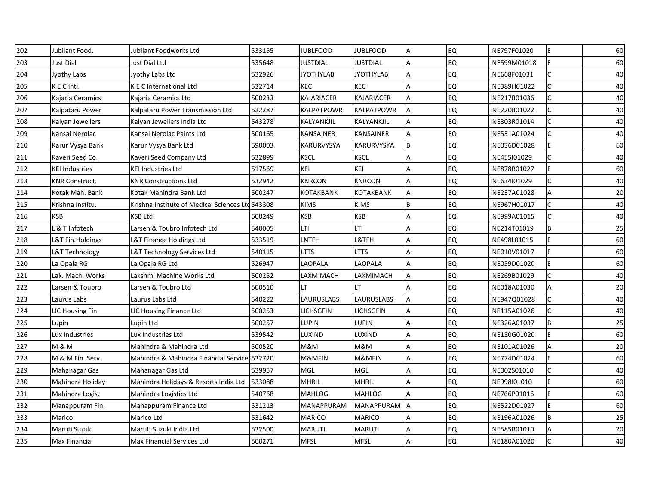| 202 | Jubilant Food.        | Jubilant Foodworks Ltd                           | 533155 | <b>JUBLFOOD</b>  | <b>JUBLFOOD</b>   | A  | <b>EQ</b> | INE797F01020 | E            | 60 |
|-----|-----------------------|--------------------------------------------------|--------|------------------|-------------------|----|-----------|--------------|--------------|----|
| 203 | Just Dial             | Just Dial Ltd                                    | 535648 | JUSTDIAL         | <b>JUSTDIAL</b>   | A  | <b>EQ</b> | INE599M01018 | E            | 60 |
| 204 | Jyothy Labs           | Jyothy Labs Ltd                                  | 532926 | <b>JYOTHYLAB</b> | <b>JYOTHYLAB</b>  | А  | EQ        | INE668F01031 | C            | 40 |
| 205 | KEC Intl.             | K E C International Ltd                          | 532714 | <b>KEC</b>       | <b>KEC</b>        | A  | <b>EQ</b> | INE389H01022 | C            | 40 |
| 206 | Kajaria Ceramics      | Kajaria Ceramics Ltd                             | 500233 | KAJARIACER       | KAJARIACER        | А  | <b>EQ</b> | INE217B01036 | C            | 40 |
| 207 | Kalpataru Power       | Kalpataru Power Transmission Ltd                 | 522287 | KALPATPOWR       | KALPATPOWR        | A  | <b>EQ</b> | INE220B01022 | C            | 40 |
| 208 | Kalyan Jewellers      | Kalyan Jewellers India Ltd                       | 543278 | KALYANKJIL       | KALYANKJIL        | A  | <b>EQ</b> | INE303R01014 | $\mathsf{C}$ | 40 |
| 209 | Kansai Nerolac        | Kansai Nerolac Paints Ltd                        | 500165 | <b>KANSAINER</b> | <b>KANSAINER</b>  | А  | <b>EQ</b> | INE531A01024 | $\mathsf{C}$ | 40 |
| 210 | Karur Vysya Bank      | Karur Vysya Bank Ltd                             | 590003 | KARURVYSYA       | <b>KARURVYSYA</b> | ΙB | <b>EQ</b> | INE036D01028 | F            | 60 |
| 211 | Kaveri Seed Co.       | Kaveri Seed Company Ltd                          | 532899 | <b>KSCL</b>      | <b>KSCL</b>       | A  | <b>EQ</b> | INE455101029 | $\mathsf{C}$ | 40 |
| 212 | KEI Industries        | KEI Industries Ltd                               | 517569 | KEI              | KEI               |    | <b>EQ</b> | INE878B01027 | E            | 60 |
| 213 | <b>KNR Construct.</b> | <b>KNR Constructions Ltd</b>                     | 532942 | <b>KNRCON</b>    | <b>KNRCON</b>     | Α  | <b>EQ</b> | INE634I01029 | C            | 40 |
| 214 | Kotak Mah. Bank       | Kotak Mahindra Bank Ltd                          | 500247 | KOTAKBANK        | <b>KOTAKBANK</b>  | A  | <b>EQ</b> | INE237A01028 | A            | 20 |
| 215 | Krishna Institu.      | Krishna Institute of Medical Sciences Ltd 543308 |        | <b>KIMS</b>      | <b>KIMS</b>       | B  | <b>EQ</b> | INE967H01017 | C            | 40 |
| 216 | KSB                   | <b>KSB Ltd</b>                                   | 500249 | <b>KSB</b>       | <b>KSB</b>        | A  | EQ        | INE999A01015 | $\mathsf{C}$ | 40 |
| 217 | & T Infotech          | Larsen & Toubro Infotech Ltd                     | 540005 | LTI              | LTI               | A  | <b>EQ</b> | INE214T01019 | B            | 25 |
| 218 | L&T Fin.Holdings      | L&T Finance Holdings Ltd                         | 533519 | LNTFH            | L&TFH             | A  | <b>EQ</b> | INE498L01015 | E            | 60 |
| 219 | L&T Technology        | L&T Technology Services Ltd                      | 540115 | LTTS             | LTTS              | A  | <b>EQ</b> | INE010V01017 | F            | 60 |
| 220 | La Opala RG           | La Opala RG Ltd                                  | 526947 | LAOPALA          | LAOPALA           | Α  | EQ        | INE059D01020 | E            | 60 |
| 221 | Lak. Mach. Works      | Lakshmi Machine Works Ltd                        | 500252 | LAXMIMACH        | LAXMIMACH         | A  | <b>EQ</b> | INE269B01029 | C            | 40 |
| 222 | Larsen & Toubro       | Larsen & Toubro Ltd                              | 500510 | LT               | LТ                | Α  | <b>EQ</b> | INE018A01030 | Α            | 20 |
| 223 | Laurus Labs           | Laurus Labs Ltd                                  | 540222 | LAURUSLABS       | LAURUSLABS        | A  | EQ        | INE947Q01028 | C            | 40 |
| 224 | LIC Housing Fin.      | LIC Housing Finance Ltd                          | 500253 | LICHSGFIN        | LICHSGFIN         | A  | <b>EQ</b> | INE115A01026 | $\mathsf{C}$ | 40 |
| 225 | Lupin                 | Lupin Ltd                                        | 500257 | LUPIN            | LUPIN             | Α  | <b>EQ</b> | INE326A01037 | B            | 25 |
| 226 | Lux Industries        | Lux Industries Ltd                               | 539542 | LUXIND           | LUXIND            | A  | EQ        | INE150G01020 | E            | 60 |
| 227 | <b>M &amp; M</b>      | Mahindra & Mahindra Ltd                          | 500520 | M&M              | M&M               | A  | <b>EQ</b> | INE101A01026 | A            | 20 |
| 228 | M & M Fin. Serv.      | Mahindra & Mahindra Financial Services 532720    |        | M&MFIN           | M&MFIN            | A  | <b>EQ</b> | INE774D01024 | E            | 60 |
| 229 | Mahanagar Gas         | Mahanagar Gas Ltd                                | 539957 | MGL              | MGL               | A  | <b>EQ</b> | INE002S01010 | $\mathsf{C}$ | 40 |
| 230 | Mahindra Holiday      | Mahindra Holidays & Resorts India Ltd            | 533088 | <b>MHRIL</b>     | <b>MHRIL</b>      | Α  | <b>EQ</b> | INE998I01010 | F            | 60 |
| 231 | Mahindra Logis.       | Mahindra Logistics Ltd                           | 540768 | <b>MAHLOG</b>    | <b>MAHLOG</b>     | A  | <b>EQ</b> | INE766P01016 | E            | 60 |
| 232 | Manappuram Fin.       | Manappuram Finance Ltd                           | 531213 | MANAPPURAM       | MANAPPURAM        | IΑ | EQ        | INE522D01027 | E            | 60 |
| 233 | Marico                | Marico Ltd                                       | 531642 | <b>MARICO</b>    | <b>MARICO</b>     | A  | <b>EQ</b> | INE196A01026 | B            | 25 |
| 234 | Maruti Suzuki         | Maruti Suzuki India Ltd                          | 532500 | <b>MARUTI</b>    | <b>MARUTI</b>     | A  | EQ        | INE585B01010 | A            | 20 |
| 235 | <b>Max Financial</b>  | Max Financial Services Ltd                       | 500271 | <b>MFSL</b>      | <b>MFSL</b>       |    | EQ        | INE180A01020 |              | 40 |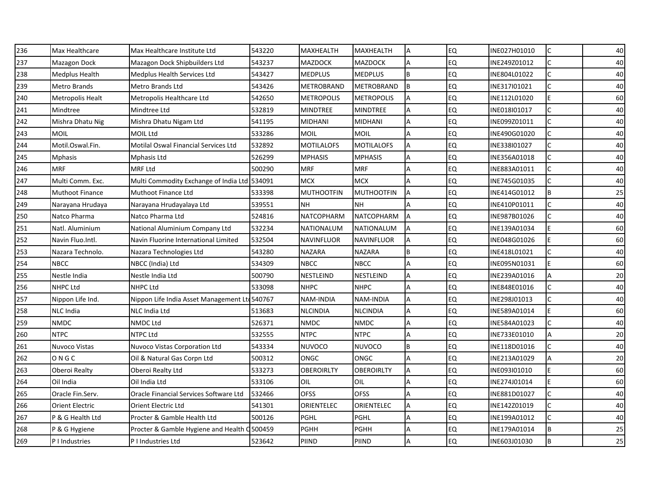| 236 | Max Healthcare         | Max Healthcare Institute Ltd                  | 543220  | <b>MAXHEALTH</b>  | MAXHEALTH         | A   | <b>EQ</b> | INE027H01010 | $\mathsf{C}$ | 40 |
|-----|------------------------|-----------------------------------------------|---------|-------------------|-------------------|-----|-----------|--------------|--------------|----|
| 237 | Mazagon Dock           | Mazagon Dock Shipbuilders Ltd                 | 543237  | <b>MAZDOCK</b>    | <b>MAZDOCK</b>    | A   | <b>EQ</b> | INE249Z01012 | C            | 40 |
| 238 | Medplus Health         | Medplus Health Services Ltd                   | 543427  | <b>MEDPLUS</b>    | <b>MEDPLUS</b>    | B   | EQ        | INE804L01022 | C            | 40 |
| 239 | <b>Metro Brands</b>    | Metro Brands Ltd                              | 543426  | <b>METROBRAND</b> | <b>METROBRAND</b> | IΒ  | <b>EQ</b> | INE317I01021 | C            | 40 |
| 240 | Metropolis Healt       | Metropolis Healthcare Ltd                     | 542650  | <b>METROPOLIS</b> | <b>METROPOLIS</b> | A   | <b>EQ</b> | INE112L01020 | E            | 60 |
| 241 | Mindtree               | Mindtree Ltd                                  | 532819  | <b>MINDTREE</b>   | MINDTREE          | Α   | EQ        | INE018I01017 | C            | 40 |
| 242 | Mishra Dhatu Nig       | Mishra Dhatu Nigam Ltd                        | 541195  | <b>MIDHANI</b>    | <b>MIDHANI</b>    | A   | <b>EQ</b> | INE099Z01011 | $\mathsf{C}$ | 40 |
| 243 | <b>MOIL</b>            | <b>MOIL Ltd</b>                               | 533286  | <b>MOIL</b>       | <b>MOIL</b>       | A   | <b>EQ</b> | INE490G01020 | $\mathsf{C}$ | 40 |
| 244 | Motil.Oswal.Fin.       | <b>Motilal Oswal Financial Services Ltd</b>   | 532892  | <b>MOTILALOFS</b> | <b>MOTILALOFS</b> | A   | <b>EQ</b> | INE338I01027 |              | 40 |
| 245 | Mphasis                | Mphasis Ltd                                   | 526299  | <b>MPHASIS</b>    | <b>MPHASIS</b>    | A   | <b>EQ</b> | INE356A01018 |              | 40 |
| 246 | MRF                    | MRF Ltd                                       | 500290  | <b>MRF</b>        | <b>MRF</b>        |     | <b>EQ</b> | INE883A01011 |              | 40 |
| 247 | Multi Comm. Exc.       | Multi Commodity Exchange of India Ltd 534091  |         | <b>MCX</b>        | <b>MCX</b>        | A   | <b>EQ</b> | INE745G01035 | C            | 40 |
| 248 | <b>Muthoot Finance</b> | Muthoot Finance Ltd                           | 533398  | <b>MUTHOOTFIN</b> | <b>MUTHOOTFIN</b> | A   | <b>EQ</b> | INE414G01012 | B            | 25 |
| 249 | Narayana Hrudaya       | Narayana Hrudayalaya Ltd                      | 539551  | <b>NH</b>         | <b>NH</b>         |     | <b>EQ</b> | INE410P01011 |              | 40 |
| 250 | Natco Pharma           | Natco Pharma Ltd                              | 524816  | NATCOPHARM        | <b>NATCOPHARM</b> | A   | <b>EQ</b> | INE987B01026 | C            | 40 |
| 251 | Natl. Aluminium        | National Aluminium Company Ltd                | 532234  | NATIONALUM        | NATIONALUM        | A   | <b>EQ</b> | INE139A01034 | F            | 60 |
| 252 | Navin Fluo.Intl.       | Navin Fluorine International Limited          | 532504  | NAVINFLUOR        | <b>NAVINFLUOR</b> | A   | <b>EQ</b> | INE048G01026 | E            | 60 |
| 253 | Nazara Technolo.       | Nazara Technologies Ltd                       | 543280  | <b>NAZARA</b>     | <b>NAZARA</b>     | B   | <b>EQ</b> | INE418L01021 | $\mathsf{C}$ | 40 |
| 254 | NBCC                   | NBCC (India) Ltd                              | 534309  | <b>NBCC</b>       | <b>NBCC</b>       |     | <b>EQ</b> | INE095N01031 | F            | 60 |
| 255 | Nestle India           | Nestle India Ltd                              | 500790  | NESTLEIND         | NESTLEIND         | A   | <b>EQ</b> | INE239A01016 | A            | 20 |
| 256 | NHPC Ltd               | NHPC Ltd                                      | 533098  | <b>NHPC</b>       | <b>NHPC</b>       | A   | <b>EQ</b> | INE848E01016 |              | 40 |
| 257 | Nippon Life Ind.       | Nippon Life India Asset Management Ltd 540767 |         | NAM-INDIA         | <b>NAM-INDIA</b>  | A   | <b>EQ</b> | INE298J01013 | C            | 40 |
| 258 | <b>NLC</b> India       | <b>NLC India Ltd</b>                          | 513683  | <b>NLCINDIA</b>   | <b>NLCINDIA</b>   | A   | <b>EQ</b> | INE589A01014 | E            | 60 |
| 259 | <b>NMDC</b>            | <b>NMDC Ltd</b>                               | 526371  | <b>NMDC</b>       | <b>NMDC</b>       |     | <b>EQ</b> | INE584A01023 |              | 40 |
| 260 | <b>NTPC</b>            | <b>NTPC Ltd</b>                               | 532555  | <b>NTPC</b>       | <b>NTPC</b>       | A   | <b>EQ</b> | INE733E01010 | A            | 20 |
| 261 | Nuvoco Vistas          | Nuvoco Vistas Corporation Ltd                 | 543334  | <b>NUVOCO</b>     | <b>NUVOCO</b>     | l B | <b>EQ</b> | INE118D01016 | C            | 40 |
| 262 | ONGC                   | Oil & Natural Gas Corpn Ltd                   | 500312  | <b>ONGC</b>       | ONGC              | A   | <b>EQ</b> | INE213A01029 | A            | 20 |
| 263 | Oberoi Realty          | Oberoi Realty Ltd                             | 533273  | <b>OBEROIRLTY</b> | <b>OBEROIRLTY</b> | A   | <b>EQ</b> | INE093I01010 | E            | 60 |
| 264 | Oil India              | Oil India Ltd                                 | 533106  | OIL               | OIL               |     | EQ        | INE274J01014 | F            | 60 |
| 265 | Oracle Fin.Serv.       | Oracle Financial Services Software Ltd        | 532466  | <b>OFSS</b>       | <b>OFSS</b>       | Α   | <b>EQ</b> | INE881D01027 | C            | 40 |
| 266 | <b>Orient Electric</b> | Orient Electric Ltd                           | 541301  | ORIENTELEC        | ORIENTELEC        | Α   | EQ        | INE142Z01019 | $\mathsf{C}$ | 40 |
| 267 | P & G Health Ltd       | Procter & Gamble Health Ltd                   | 500126  | PGHL              | <b>PGHL</b>       | A   | <b>EQ</b> | INE199A01012 |              | 40 |
| 268 | P & G Hygiene          | Procter & Gamble Hygiene and Health           | C500459 | <b>PGHH</b>       | PGHH              | Α   | EQ        | INE179A01014 | B            | 25 |
| 269 | P I Industries         | P I Industries Ltd                            | 523642  | <b>PIIND</b>      | PIIND             | A   | EQ        | INE603J01030 | B            | 25 |
|     |                        |                                               |         |                   |                   |     |           |              |              |    |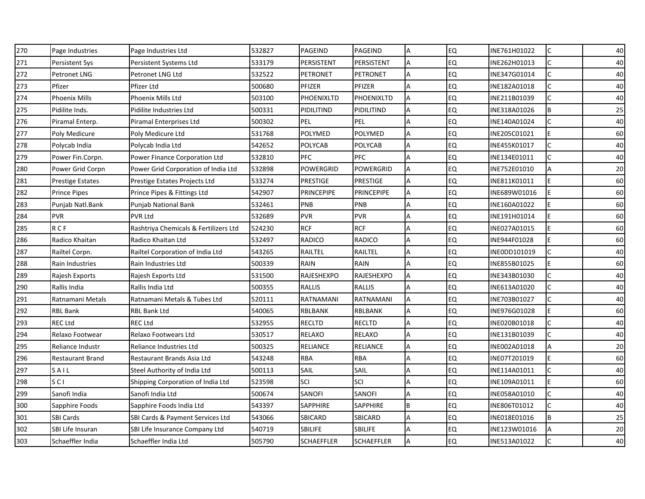| 270 | Page Industries         | Page Industries Ltd                   | 532827 | PAGEIND           | PAGEIND           | Α              | <b>EQ</b> | INE761H01022 | $\mathsf{C}$ | 40 |
|-----|-------------------------|---------------------------------------|--------|-------------------|-------------------|----------------|-----------|--------------|--------------|----|
| 271 | Persistent Sys          | Persistent Systems Ltd                | 533179 | PERSISTENT        | PERSISTENT        | A              | <b>EQ</b> | INE262H01013 | C            | 40 |
| 272 | Petronet LNG            | Petronet LNG Ltd                      | 532522 | PETRONET          | <b>PETRONET</b>   | A              | <b>EQ</b> | INE347G01014 | $\mathsf{C}$ | 40 |
| 273 | Pfizer                  | Pfizer Ltd                            | 500680 | PFIZER            | PFIZER            | А              | <b>EQ</b> | INE182A01018 | C            | 40 |
| 274 | <b>Phoenix Mills</b>    | Phoenix Mills Ltd                     | 503100 | PHOENIXLTD        | PHOENIXLTD        | A              | <b>EQ</b> | INE211B01039 | Ċ            | 40 |
| 275 | Pidilite Inds.          | Pidilite Industries Ltd               | 500331 | PIDILITIND        | PIDILITIND        | Α              | <b>EQ</b> | INE318A01026 | B            | 25 |
| 276 | Piramal Enterp.         | Piramal Enterprises Ltd               | 500302 | PEL               | PEL               | A              | <b>EQ</b> | INE140A01024 | $\mathsf{C}$ | 40 |
| 277 | Poly Medicure           | Poly Medicure Ltd                     | 531768 | <b>POLYMED</b>    | POLYMED           | A              | EQ        | INE205C01021 | F            | 60 |
| 278 | Polycab India           | Polycab India Ltd                     | 542652 | <b>POLYCAB</b>    | POLYCAB           | A              | <b>EQ</b> | INE455K01017 |              | 40 |
| 279 | Power Fin.Corpn.        | Power Finance Corporation Ltd         | 532810 | PFC               | PFC               | A              | <b>EQ</b> | INE134E01011 |              | 40 |
| 280 | Power Grid Corpn        | Power Grid Corporation of India Ltd   | 532898 | POWERGRID         | POWERGRID         |                | <b>EQ</b> | INE752E01010 | А            | 20 |
| 281 | <b>Prestige Estates</b> | Prestige Estates Projects Ltd         | 533274 | <b>PRESTIGE</b>   | PRESTIGE          | A              | <b>EQ</b> | INE811K01011 | E            | 60 |
| 282 | <b>Prince Pipes</b>     | Prince Pipes & Fittings Ltd           | 542907 | <b>PRINCEPIPE</b> | <b>PRINCEPIPE</b> | Α              | <b>EQ</b> | INE689W01016 | E            | 60 |
| 283 | Punjab Natl.Bank        | Punjab National Bank                  | 532461 | PNB               | PNB               | A              | EQ        | INE160A01022 | F            | 60 |
| 284 | <b>PVR</b>              | <b>PVR Ltd</b>                        | 532689 | <b>PVR</b>        | <b>PVR</b>        | A              | <b>EQ</b> | INE191H01014 | E            | 60 |
| 285 | R C F                   | Rashtriya Chemicals & Fertilizers Ltd | 524230 | <b>RCF</b>        | <b>RCF</b>        | A              | EQ        | INE027A01015 | F            | 60 |
| 286 | Radico Khaitan          | Radico Khaitan Ltd                    | 532497 | RADICO            | RADICO            | Α              | EQ        | INE944F01028 | E            | 60 |
| 287 | Railtel Corpn.          | Railtel Corporation of India Ltd      | 543265 | RAILTEL           | RAILTEL           | Α              | <b>EQ</b> | INE0DD101019 | $\mathsf{C}$ | 40 |
| 288 | Rain Industries         | Rain Industries Ltd                   | 500339 | RAIN              | RAIN              | A              | <b>EQ</b> | INE855B01025 | E            | 60 |
| 289 | Rajesh Exports          | Rajesh Exports Ltd                    | 531500 | <b>RAJESHEXPO</b> | <b>RAJESHEXPO</b> | A              | EQ        | INE343B01030 | $\mathsf{C}$ | 40 |
| 290 | Rallis India            | Rallis India Ltd                      | 500355 | RALLIS            | RALLIS            | $\overline{A}$ | <b>EQ</b> | INE613A01020 |              | 40 |
| 291 | Ratnamani Metals        | Ratnamani Metals & Tubes Ltd          | 520111 | RATNAMANI         | RATNAMANI         | A              | EQ        | INE703B01027 | C            | 40 |
| 292 | <b>RBL Bank</b>         | <b>RBL Bank Ltd</b>                   | 540065 | RBLBANK           | RBLBANK           | A              | <b>EQ</b> | INE976G01028 | E            | 60 |
| 293 | <b>REC Ltd</b>          | <b>REC Ltd</b>                        | 532955 | <b>RECLTD</b>     | <b>RECLTD</b>     | A              | EQ        | INE020B01018 |              | 40 |
| 294 | Relaxo Footwear         | Relaxo Footwears Ltd                  | 530517 | <b>RELAXO</b>     | RELAXO            | A              | EQ        | INE131B01039 | C            | 40 |
| 295 | Reliance Industr        | Reliance Industries Ltd               | 500325 | RELIANCE          | RELIANCE          | A              | EQ        | INE002A01018 | A            | 20 |
| 296 | <b>Restaurant Brand</b> | Restaurant Brands Asia Ltd            | 543248 | <b>RBA</b>        | <b>RBA</b>        | А              | <b>EQ</b> | INE07T201019 | E            | 60 |
| 297 | SAIL                    | Steel Authority of India Ltd          | 500113 | SAIL              | SAIL              | $\overline{A}$ | <b>EQ</b> | INE114A01011 | $\mathsf{C}$ | 40 |
| 298 | SCI                     | Shipping Corporation of India Ltd     | 523598 | SCI               | SCI               | A              | <b>EQ</b> | INE109A01011 | F            | 60 |
| 299 | Sanofi India            | Sanofi India Ltd                      | 500674 | SANOFI            | SANOFI            | A              | <b>EQ</b> | INE058A01010 | $\mathsf{C}$ | 40 |
| 300 | Sapphire Foods          | Sapphire Foods India Ltd              | 543397 | SAPPHIRE          | SAPPHIRE          | B              | <b>EQ</b> | INE806T01012 | $\mathsf{C}$ | 40 |
| 301 | <b>SBI Cards</b>        | SBI Cards & Payment Services Ltd      | 543066 | SBICARD           | <b>SBICARD</b>    | A              | <b>EQ</b> | INE018E01016 | B            | 25 |
| 302 | SBI Life Insuran        | SBI Life Insurance Company Ltd        | 540719 | SBILIFE           | <b>SBILIFE</b>    | A              | EQ        | INE123W01016 | A            | 20 |
| 303 | Schaeffler India        | Schaeffler India Ltd                  | 505790 | <b>SCHAEFFLER</b> | <b>SCHAEFFLER</b> | $\overline{A}$ | EQ        | INE513A01022 |              | 40 |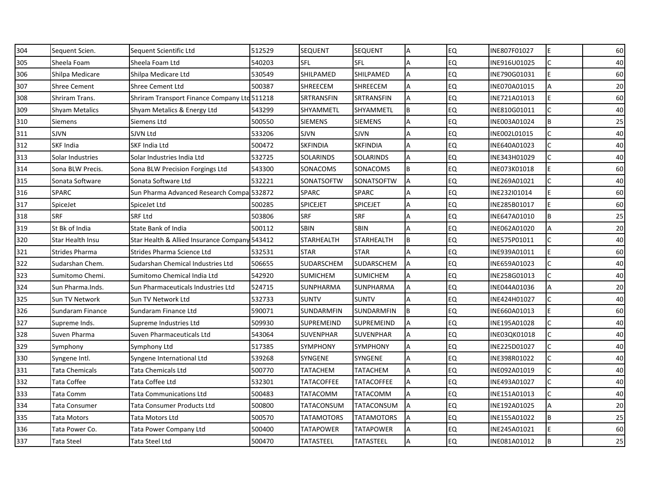| 304 | Sequent Scien.        | Sequent Scientific Ltd                        | 512529 | <b>SEQUENT</b>    | <b>SEQUENT</b>    |     | <b>EQ</b> | INE807F01027 | lE.          | 60 |
|-----|-----------------------|-----------------------------------------------|--------|-------------------|-------------------|-----|-----------|--------------|--------------|----|
| 305 | Sheela Foam           | Sheela Foam Ltd                               | 540203 | <b>SFL</b>        | <b>SFL</b>        | A   | <b>EQ</b> | INE916U01025 | C            | 40 |
| 306 | Shilpa Medicare       | Shilpa Medicare Ltd                           | 530549 | SHILPAMED         | SHILPAMED         | A   | EQ        | INE790G01031 | E            | 60 |
| 307 | <b>Shree Cement</b>   | <b>Shree Cement Ltd</b>                       | 500387 | <b>SHREECEM</b>   | SHREECEM          | Α   | <b>EQ</b> | INE070A01015 | A            | 20 |
| 308 | Shriram Trans.        | Shriram Transport Finance Company Ltd 511218  |        | SRTRANSFIN        | SRTRANSFIN        | A   | EQ        | INE721A01013 | E            | 60 |
| 309 | <b>Shyam Metalics</b> | Shyam Metalics & Energy Ltd                   | 543299 | SHYAMMETL         | SHYAMMETL         | B   | <b>EQ</b> | INE810G01011 | $\mathsf{C}$ | 40 |
| 310 | Siemens               | Siemens Ltd                                   | 500550 | <b>SIEMENS</b>    | <b>SIEMENS</b>    | A   | <b>EQ</b> | INE003A01024 | B            | 25 |
| 311 | SJVN                  | SJVN Ltd                                      | 533206 | <b>SJVN</b>       | <b>SJVN</b>       | A   | <b>EQ</b> | INE002L01015 | $\mathsf{C}$ | 40 |
| 312 | <b>SKF India</b>      | SKF India Ltd                                 | 500472 | <b>SKFINDIA</b>   | <b>SKFINDIA</b>   | A   | <b>EQ</b> | INE640A01023 |              | 40 |
| 313 | Solar Industries      | Solar Industries India Ltd                    | 532725 | SOLARINDS         | SOLARINDS         | A   | EQ        | INE343H01029 | C            | 40 |
| 314 | Sona BLW Precis.      | Sona BLW Precision Forgings Ltd               | 543300 | SONACOMS          | SONACOMS          | ΙB  | <b>EQ</b> | INE073K01018 | Е            | 60 |
| 315 | Sonata Software       | Sonata Software Ltd                           | 532221 | SONATSOFTW        | SONATSOFTW        | A   | <b>EQ</b> | INE269A01021 | C            | 40 |
| 316 | <b>SPARC</b>          | Sun Pharma Advanced Research Compa 532872     |        | SPARC             | SPARC             | A   | EQ        | INE232I01014 | E            | 60 |
| 317 | SpiceJet              | SpiceJet Ltd                                  | 500285 | <b>SPICEJET</b>   | <b>SPICEJET</b>   | A   | EQ        | INE285B01017 | Е            | 60 |
| 318 | <b>SRF</b>            | SRF Ltd                                       | 503806 | <b>SRF</b>        | <b>SRF</b>        | Α   | EQ        | INE647A01010 | B            | 25 |
| 319 | St Bk of India        | State Bank of India                           | 500112 | <b>SBIN</b>       | <b>SBIN</b>       | A   | EQ        | INE062A01020 | A            | 20 |
| 320 | Star Health Insu      | Star Health & Allied Insurance Company 543412 |        | <b>STARHEALTH</b> | STARHEALTH        | B   | <b>EQ</b> | INE575P01011 | C            | 40 |
| 321 | <b>Strides Pharma</b> | Strides Pharma Science Ltd                    | 532531 | <b>STAR</b>       | <b>STAR</b>       | A   | EQ        | INE939A01011 | E            | 60 |
| 322 | Sudarshan Chem.       | Sudarshan Chemical Industries Ltd             | 506655 | SUDARSCHEM        | <b>SUDARSCHEM</b> | A   | EQ        | INE659A01023 | $\mathsf{C}$ | 40 |
| 323 | Sumitomo Chemi.       | Sumitomo Chemical India Ltd                   | 542920 | <b>SUMICHEM</b>   | <b>SUMICHEM</b>   | A   | <b>EQ</b> | INE258G01013 | C            | 40 |
| 324 | Sun Pharma.Inds.      | Sun Pharmaceuticals Industries Ltd            | 524715 | SUNPHARMA         | SUNPHARMA         | A   | <b>EQ</b> | INE044A01036 | Α            | 20 |
| 325 | Sun TV Network        | Sun TV Network Ltd                            | 532733 | <b>SUNTV</b>      | <b>SUNTV</b>      | A   | <b>EQ</b> | INE424H01027 | C            | 40 |
| 326 | Sundaram Finance      | Sundaram Finance Ltd                          | 590071 | SUNDARMFIN        | SUNDARMFIN        | l B | <b>EQ</b> | INE660A01013 | E            | 60 |
| 327 | Supreme Inds.         | Supreme Industries Ltd                        | 509930 | SUPREMEIND        | <b>SUPREMEIND</b> |     | EQ        | INE195A01028 | $\mathsf{C}$ | 40 |
| 328 | Suven Pharma          | Suven Pharmaceuticals Ltd                     | 543064 | <b>SUVENPHAR</b>  | <b>SUVENPHAR</b>  | A   | <b>EQ</b> | INE03QK01018 | C            | 40 |
| 329 | Symphony              | Symphony Ltd                                  | 517385 | <b>SYMPHONY</b>   | <b>SYMPHONY</b>   | A   | <b>EQ</b> | INE225D01027 | $\mathsf{C}$ | 40 |
| 330 | Syngene Intl.         | Syngene International Ltd                     | 539268 | SYNGENE           | SYNGENE           | A   | <b>EQ</b> | INE398R01022 | C            | 40 |
| 331 | <b>Tata Chemicals</b> | Tata Chemicals Ltd                            | 500770 | TATACHEM          | TATACHEM          | A   | <b>EQ</b> | INE092A01019 | C            | 40 |
| 332 | Tata Coffee           | Tata Coffee Ltd                               | 532301 | TATACOFFEE        | TATACOFFEE        | Α   | EQ        | INE493A01027 |              | 40 |
| 333 | Tata Comm             | <b>Tata Communications Ltd</b>                | 500483 | TATACOMM          | TATACOMM          | A   | <b>EQ</b> | INE151A01013 | C            | 40 |
| 334 | Tata Consumer         | Tata Consumer Products Ltd                    | 500800 | TATACONSUM        | TATACONSUM        | A   | <b>EQ</b> | INE192A01025 | A            | 20 |
| 335 | Tata Motors           | Tata Motors Ltd                               | 500570 | TATAMOTORS        | TATAMOTORS        | A   | <b>EQ</b> | INE155A01022 | B            | 25 |
| 336 | Tata Power Co.        | Tata Power Company Ltd                        | 500400 | TATAPOWER         | TATAPOWER         | A   | EQ        | INE245A01021 | E            | 60 |
| 337 | Tata Steel            | Tata Steel Ltd                                | 500470 | TATASTEEL         | TATASTEEL         | A   | EQ        | INE081A01012 | B            | 25 |
|     |                       |                                               |        |                   |                   |     |           |              |              |    |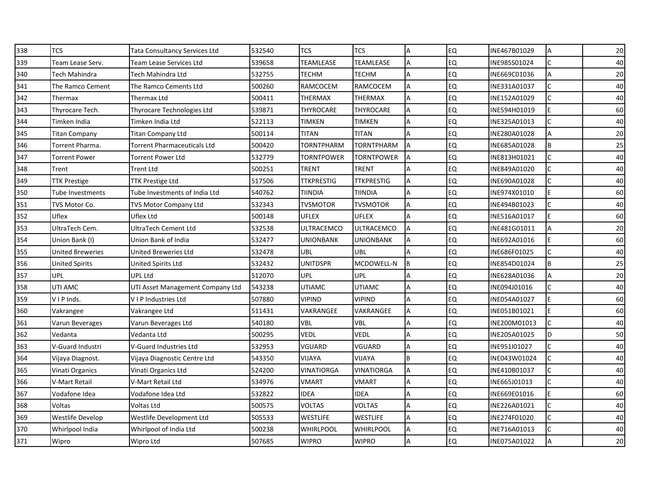| 338 | TCS                     | Tata Consultancy Services Ltd    | 532540 | <b>TCS</b>        | <b>TCS</b>        |    | <b>EQ</b> | INE467B01029 | $\overline{A}$          | 20 |
|-----|-------------------------|----------------------------------|--------|-------------------|-------------------|----|-----------|--------------|-------------------------|----|
| 339 | Team Lease Serv.        | Team Lease Services Ltd          | 539658 | TEAMLEASE         | TEAMLEASE         | A  | <b>EQ</b> | INE985S01024 | $\mathsf{C}$            | 40 |
| 340 | Tech Mahindra           | Tech Mahindra Ltd                | 532755 | TECHM             | TECHM             | Α  | EQ        | INE669C01036 | $\overline{\mathsf{A}}$ | 20 |
| 341 | The Ramco Cement        | The Ramco Cements Ltd            | 500260 | RAMCOCEM          | <b>RAMCOCEM</b>   | A  | <b>EQ</b> | INE331A01037 |                         | 40 |
| 342 | Thermax                 | Thermax Ltd                      | 500411 | THERMAX           | THERMAX           | A  | EQ        | INE152A01029 | C                       | 40 |
| 343 | Thyrocare Tech.         | Thyrocare Technologies Ltd       | 539871 | THYROCARE         | THYROCARE         | Α  | EQ        | INE594H01019 | F                       | 60 |
| 344 | Timken India            | Timken India Ltd                 | 522113 | TIMKEN            | TIMKEN            | A  | <b>EQ</b> | INE325A01013 | C                       | 40 |
| 345 | <b>Titan Company</b>    | Titan Company Ltd                | 500114 | TITAN             | <b>TITAN</b>      | А  | EQ        | INE280A01028 | $\overline{A}$          | 20 |
| 346 | Torrent Pharma.         | Torrent Pharmaceuticals Ltd      | 500420 | TORNTPHARM        | TORNTPHARM        | A  | <b>EQ</b> | INE685A01028 | B                       | 25 |
| 347 | Torrent Power           | Torrent Power Ltd                | 532779 | TORNTPOWER        | TORNTPOWER        | ΙA | EQ        | INE813H01021 | $\mathsf{C}$            | 40 |
| 348 | Trent                   | Trent Ltd                        | 500251 | TRENT             | TRENT             |    | EQ        | INE849A01020 |                         | 40 |
| 349 | TTK Prestige            | <b>TTK Prestige Ltd</b>          | 517506 | <b>TTKPRESTIG</b> | <b>TTKPRESTIG</b> | A  | <b>EQ</b> | INE690A01028 |                         | 40 |
| 350 | Tube Investments        | Tube Investments of India Ltd    | 540762 | TIINDIA           | TIINDIA           | A  | EQ        | INE974X01010 | E                       | 60 |
| 351 | TVS Motor Co.           | TVS Motor Company Ltd            | 532343 | TVSMOTOR          | TVSMOTOR          | A  | <b>EQ</b> | INE494B01023 |                         | 40 |
| 352 | Uflex                   | Uflex Ltd                        | 500148 | <b>UFLEX</b>      | UFLEX             | A  | EQ        | INE516A01017 | E                       | 60 |
| 353 | UltraTech Cem.          | UltraTech Cement Ltd             | 532538 | ULTRACEMCO        | ULTRACEMCO        | A  | <b>EQ</b> | INE481G01011 | $\overline{A}$          | 20 |
| 354 | Union Bank (I)          | Union Bank of India              | 532477 | UNIONBANK         | UNIONBANK         | A  | EQ        | INE692A01016 | E                       | 60 |
| 355 | <b>United Breweries</b> | <b>United Breweries Ltd</b>      | 532478 | UBL               | UBL               | A  | EQ        | INE686F01025 | $\mathsf{C}$            | 40 |
| 356 | <b>United Spirits</b>   | United Spirits Ltd               | 532432 | <b>UNITDSPR</b>   | MCDOWELL-N        | IΒ | EQ        | INE854D01024 | <b>B</b>                | 25 |
| 357 | <b>UPL</b>              | <b>UPL Ltd</b>                   | 512070 | UPL               | UPL               | A  | EQ        | INE628A01036 | $\overline{A}$          | 20 |
| 358 | UTI AMC                 | UTI Asset Management Company Ltd | 543238 | UTIAMC            | UTIAMC            | Α  | <b>EQ</b> | INE094J01016 | $\mathsf{C}$            | 40 |
| 359 | VIP Inds.               | VIP Industries Ltd               | 507880 | <b>VIPIND</b>     | <b>VIPIND</b>     | A  | <b>EQ</b> | INE054A01027 | E                       | 60 |
| 360 | Vakrangee               | Vakrangee Ltd                    | 511431 | VAKRANGEE         | VAKRANGEE         | Α  | EQ        | INE051B01021 | E                       | 60 |
| 361 | Varun Beverages         | Varun Beverages Ltd              | 540180 | <b>VBL</b>        | VBL               |    | <b>EQ</b> | INE200M01013 |                         | 40 |
| 362 | Vedanta                 | Vedanta Ltd                      | 500295 | <b>VEDL</b>       | <b>VEDL</b>       | A  | EQ        | INE205A01025 | D                       | 50 |
| 363 | V-Guard Industri        | V-Guard Industries Ltd           | 532953 | VGUARD            | VGUARD            | A  | <b>EQ</b> | INE951I01027 | $\mathsf{C}$            | 40 |
| 364 | Vijaya Diagnost.        | Vijaya Diagnostic Centre Ltd     | 543350 | VIJAYA            | VIJAYA            |    | EQ        | INE043W01024 |                         | 40 |
| 365 | Vinati Organics         | Vinati Organics Ltd              | 524200 | <b>VINATIORGA</b> | <b>VINATIORGA</b> | A  | EQ        | INE410B01037 | $\Gamma$                | 40 |
| 366 | V-Mart Retail           | V-Mart Retail Ltd                | 534976 | <b>VMART</b>      | <b>VMART</b>      |    | <b>EQ</b> | INE665J01013 |                         | 40 |
| 367 | Vodafone Idea           | Vodafone Idea Ltd                | 532822 | <b>IDEA</b>       | <b>IDEA</b>       | Α  | EQ        | INE669E01016 | E                       | 60 |
| 368 | Voltas                  | Voltas Ltd                       | 500575 | <b>VOLTAS</b>     | VOLTAS            | Α  | EQ        | INE226A01021 | $\mathsf{C}$            | 40 |
| 369 | Westlife Develop        | Westlife Development Ltd         | 505533 | WESTLIFE          | WESTLIFE          | A  | EQ        | INE274F01020 |                         | 40 |
| 370 | Whirlpool India         | Whirlpool of India Ltd           | 500238 | <b>WHIRLPOOL</b>  | <b>WHIRLPOOL</b>  | A  | EQ        | INE716A01013 | $\mathsf{C}$            | 40 |
| 371 | Wipro                   | Wipro Ltd                        | 507685 | <b>WIPRO</b>      | <b>WIPRO</b>      | A  | EQ        | INE075A01022 | $\overline{A}$          | 20 |
|     |                         |                                  |        |                   |                   |    |           |              |                         |    |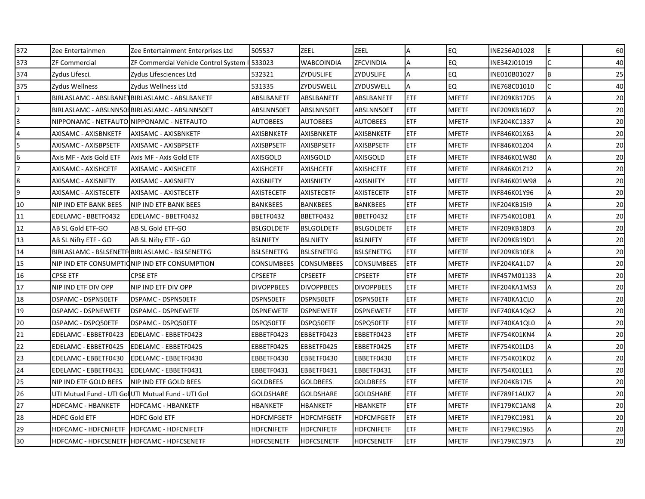| 372 | Zee Entertainmen                            | Zee Entertainment Enterprises Ltd                   | 505537            | <b>ZEEL</b>       | ZEEL              | Α          | EQ           | INE256A01028        | E            | 60 |
|-----|---------------------------------------------|-----------------------------------------------------|-------------------|-------------------|-------------------|------------|--------------|---------------------|--------------|----|
| 373 | <b>ZF Commercial</b>                        | ZF Commercial Vehicle Control System                | 533023            | <b>WABCOINDIA</b> | ZFCVINDIA         | A          | <b>EQ</b>    | INE342J01019        | $\mathsf{C}$ | 40 |
| 374 | Zydus Lifesci.                              | Zydus Lifesciences Ltd                              | 532321            | ZYDUSLIFE         | ZYDUSLIFE         | A          | EQ           | INE010B01027        | B            | 25 |
| 375 | Zydus Wellness                              | Zydus Wellness Ltd                                  | 531335            | ZYDUSWELL         | ZYDUSWELL         | A          | EQ           | INE768C01010        | C            | 40 |
|     |                                             | BIRLASLAMC - ABSLBANET BIRLASLAMC - ABSLBANETF      | ABSLBANETF        | ABSLBANETF        | ABSLBANETF        | ETF        | <b>MFETF</b> | INF209KB17D5        | A            | 20 |
|     |                                             | BIRLASLAMC - ABSLNN50EBIRLASLAMC - ABSLNN50ET       | ABSLNN50ET        | ABSLNN50ET        | ABSLNN50ET        | <b>ETF</b> | <b>MFETF</b> | INF209KB16D7        | Α            | 20 |
|     |                                             | NIPPONAMC - NETFAUTO NIPPONAMC - NETFAUTO           | <b>AUTOBEES</b>   | <b>AUTOBEES</b>   | <b>AUTOBEES</b>   | ETF        | <b>MFETF</b> | INF204KC1337        | A            | 20 |
|     | AXISAMC - AXISBNKETF                        | AXISAMC - AXISBNKETF                                | <b>AXISBNKETF</b> | <b>AXISBNKETF</b> | <b>AXISBNKETF</b> | ETF        | <b>MFETF</b> | INF846K01X63        | A            | 20 |
|     | AXISAMC - AXISBPSETF                        | AXISAMC - AXISBPSETF                                | <b>AXISBPSETF</b> | AXISBPSETF        | <b>AXISBPSETF</b> | <b>ETF</b> | <b>MFETF</b> | INF846K01Z04        | A            | 20 |
| 6   | Axis MF - Axis Gold ETF                     | Axis MF - Axis Gold ETF                             | <b>AXISGOLD</b>   | AXISGOLD          | <b>AXISGOLD</b>   | ETF        | <b>MFETF</b> | INF846K01W80        | A            | 20 |
|     | AXISAMC - AXISHCETF                         | AXISAMC - AXISHCETF                                 | <b>AXISHCETF</b>  | <b>AXISHCETF</b>  | <b>AXISHCETF</b>  | <b>ETF</b> | <b>MFETF</b> | INF846K01Z12        | А            | 20 |
| 8   | AXISAMC - AXISNIFTY                         | AXISAMC - AXISNIFTY                                 | <b>AXISNIFTY</b>  | <b>AXISNIFTY</b>  | <b>AXISNIFTY</b>  | <b>ETF</b> | <b>MFETF</b> | INF846K01W98        | A            | 20 |
| 9   | AXISAMC - AXISTECETF                        | AXISAMC - AXISTECETF                                | <b>AXISTECETF</b> | <b>AXISTECETF</b> | <b>AXISTECETF</b> | <b>ETF</b> | <b>MFETF</b> | INF846K01Y96        | A            | 20 |
| 10  | NIP IND ETF BANK BEES                       | <b>NIP IND ETF BANK BEES</b>                        | <b>BANKBEES</b>   | <b>BANKBEES</b>   | <b>BANKBEES</b>   | <b>ETF</b> | <b>MFETF</b> | INF204KB15I9        | A            | 20 |
| 11  | EDELAMC - BBETF0432                         | EDELAMC - BBETF0432                                 | BBETF0432         | BBETF0432         | BBETF0432         | ETF        | <b>MFETF</b> | INF754K01OB1        | A            | 20 |
| 12  | AB SL Gold ETF-GO                           | AB SL Gold ETF-GO                                   | <b>BSLGOLDETF</b> | <b>BSLGOLDETF</b> | <b>BSLGOLDETF</b> | <b>ETF</b> | <b>MFETF</b> | INF209KB18D3        | Α            | 20 |
| 13  | AB SL Nifty ETF - GO                        | AB SL Nifty ETF - GO                                | <b>BSLNIFTY</b>   | <b>BSLNIFTY</b>   | <b>BSLNIFTY</b>   | <b>ETF</b> | <b>MFETF</b> | INF209KB19D1        | A            | 20 |
| 14  |                                             | BIRLASLAMC - BSLSENETF BIRLASLAMC - BSLSENETFG      | <b>BSLSENETFG</b> | <b>BSLSENETFG</b> | <b>BSLSENETFG</b> | ETF        | <b>MFETF</b> | INF209KB10E8        | A            | 20 |
| 15  |                                             | NIP IND ETF CONSUMPTIONIP IND ETF CONSUMPTION       | <b>CONSUMBEES</b> | <b>CONSUMBEES</b> | <b>CONSUMBEES</b> | <b>ETF</b> | <b>MFETF</b> | INF204KA1LD7        | A            | 20 |
| 16  | CPSE ETF                                    | <b>CPSE ETF</b>                                     | <b>CPSEETF</b>    | <b>CPSEETF</b>    | <b>CPSEETF</b>    | ETF        | <b>MFETF</b> | INF457M01133        | A            | 20 |
| 17  | NIP IND ETF DIV OPP                         | NIP IND ETF DIV OPP                                 | <b>DIVOPPBEES</b> | <b>DIVOPPBEES</b> | <b>DIVOPPBEES</b> | ETF        | <b>MFETF</b> | INF204KA1MS3        | А            | 20 |
| 18  | DSPAMC - DSPN50ETF                          | DSPAMC - DSPN50ETF                                  | DSPN50ETF         | DSPN50ETF         | DSPN50ETF         | <b>ETF</b> | <b>MFETF</b> | INF740KA1CL0        | A            | 20 |
| 19  | <b>DSPAMC - DSPNEWETF</b>                   | <b>DSPAMC - DSPNEWETF</b>                           | <b>DSPNEWETF</b>  | <b>DSPNEWETF</b>  | <b>DSPNEWETF</b>  | ETF        | <b>MFETF</b> | INF740KA1QK2        | A            | 20 |
| 20  | DSPAMC - DSPQ50ETF                          | DSPAMC - DSPQ50ETF                                  | DSPQ50ETF         | DSPQ50ETF         | DSPQ50ETF         | ETF        | <b>MFETF</b> | INF740KA1QL0        | A            | 20 |
| 21  | EDELAMC - EBBETF0423                        | EDELAMC - EBBETF0423                                | EBBETF0423        | EBBETF0423        | EBBETF0423        | ETF        | <b>MFETF</b> | INF754K01KN4        | A            | 20 |
| 22  | EDELAMC - EBBETF0425                        | EDELAMC - EBBETF0425                                | EBBETF0425        | EBBETF0425        | EBBETF0425        | ETF        | <b>MFETF</b> | INF754K01LD3        | A            | 20 |
| 23  | EDELAMC - EBBETF0430                        | EDELAMC - EBBETF0430                                | EBBETF0430        | EBBETF0430        | EBBETF0430        | <b>ETF</b> | <b>MFETF</b> | INF754K01KO2        | Α            | 20 |
| 24  | EDELAMC - EBBETF0431                        | EDELAMC - EBBETF0431                                | EBBETF0431        | EBBETF0431        | EBBETF0431        | ETF        | <b>MFETF</b> | INF754K01LE1        | A            | 20 |
| 25  | NIP IND ETF GOLD BEES                       | INIP IND ETF GOLD BEES                              | <b>GOLDBEES</b>   | <b>GOLDBEES</b>   | <b>GOLDBEES</b>   | <b>ETF</b> | <b>MFETF</b> | <b>INF204KB17I5</b> | A            | 20 |
| 26  |                                             | UTI Mutual Fund - UTI Gol UTI Mutual Fund - UTI Gol | <b>GOLDSHARE</b>  | <b>GOLDSHARE</b>  | <b>GOLDSHARE</b>  | ETF        | <b>MFETF</b> | INF789F1AUX7        | A            | 20 |
| 27  | HDFCAMC - HBANKETF                          | <b>HDFCAMC - HBANKETF</b>                           | HBANKETF          | HBANKETF          | HBANKETF          | ETF        | <b>MFETF</b> | INF179KC1AN8        | Α            | 20 |
| 28  | <b>HDFC Gold ETF</b>                        | <b>HDFC Gold ETF</b>                                | HDFCMFGETF        | <b>HDFCMFGETF</b> | <b>HDFCMFGETF</b> | <b>ETF</b> | <b>MFETF</b> | INF179KC1981        | Α            | 20 |
| 29  | HDFCAMC - HDFCNIFETF   HDFCAMC - HDFCNIFETF |                                                     | <b>HDFCNIFETF</b> | <b>HDFCNIFETF</b> | <b>HDFCNIFETF</b> | <b>ETF</b> | <b>MFETF</b> | INF179KC1965        | A            | 20 |
| 30  | HDFCAMC - HDFCSENETF   HDFCAMC - HDFCSENETF |                                                     | <b>HDFCSENETF</b> | <b>HDFCSENETF</b> | <b>HDFCSENETF</b> | <b>ETF</b> | <b>MFETF</b> | <b>INF179KC1973</b> | A            | 20 |
|     |                                             |                                                     |                   |                   |                   |            |              |                     |              |    |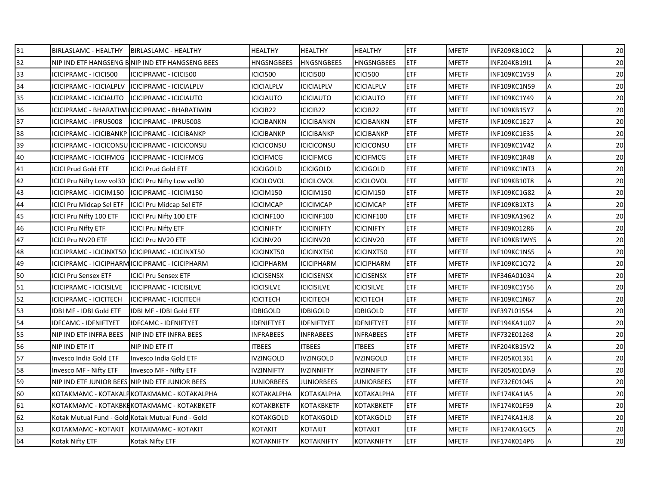| 31 | BIRLASLAMC - HEALTHY                                | <b>BIRLASLAMC - HEALTHY</b>                       | <b>HEALTHY</b>    | <b>HEALTHY</b>    | <b>HEALTHY</b>    | <b>ETF</b> | <b>MFETF</b> | INF209KB10C2 | Α | 20 |
|----|-----------------------------------------------------|---------------------------------------------------|-------------------|-------------------|-------------------|------------|--------------|--------------|---|----|
| 32 |                                                     | NIP IND ETF HANGSENG BINIP IND ETF HANGSENG BEES  | <b>HNGSNGBEES</b> | <b>HNGSNGBEES</b> | <b>HNGSNGBEES</b> | <b>ETF</b> | <b>MFETF</b> | INF204KB19I1 | A | 20 |
| 33 | ICICIPRAMC - ICICI500                               | ICICIPRAMC - ICICI500                             | <b>ICICI500</b>   | <b>ICICI500</b>   | ICICI500          | ETF        | <b>MFETF</b> | INF109KC1V59 | A | 20 |
| 34 | ICICIPRAMC - ICICIALPLV                             | ICICIPRAMC - ICICIALPLV                           | <b>ICICIALPLV</b> | <b>ICICIALPLV</b> | <b>ICICIALPLV</b> | <b>ETF</b> | <b>MFETF</b> | INF109KC1N59 | А | 20 |
| 35 | ICICIPRAMC - ICICIAUTO                              | ICICIPRAMC - ICICIAUTO                            | <b>ICICIAUTO</b>  | <b>ICICIAUTO</b>  | <b>ICICIAUTO</b>  | <b>ETF</b> | <b>MFETF</b> | INF109KC1Y49 | Α | 20 |
| 36 |                                                     | ICICIPRAMC - BHARATIWI ICICIPRAMC - BHARATIWIN    | ICICIB22          | ICICIB22          | ICICIB22          | ETF        | <b>MFETF</b> | INF109KB15Y7 | Α | 20 |
| 37 | ICICIPRAMC - IPRU5008                               | ICICIPRAMC - IPRU5008                             | <b>ICICIBANKN</b> | ICICIBANKN        | <b>ICICIBANKN</b> | <b>ETF</b> | <b>MFETF</b> | INF109KC1E27 | А | 20 |
| 38 | ICICIPRAMC - ICICIBANKP IICICIPRAMC - ICICIBANKP    |                                                   | <b>ICICIBANKP</b> | ICICIBANKP        | <b>ICICIBANKP</b> | ETF        | <b>MFETF</b> | INF109KC1E35 | A | 20 |
| 39 |                                                     | ICICIPRAMC - ICICICONSU IICICIPRAMC - ICICICONSU  | <b>ICICICONSU</b> | iciciconsu        | <b>ICICICONSU</b> | ETF        | <b>MFETF</b> | INF109KC1V42 | А | 20 |
| 40 | ICICIPRAMC - ICICIFMCG                              | ICICIPRAMC - ICICIFMCG                            | <b>ICICIFMCG</b>  | <b>ICICIFMCG</b>  | <b>ICICIFMCG</b>  | ETF        | <b>MFETF</b> | INF109KC1R48 | A | 20 |
| 41 | <b>ICICI Prud Gold ETF</b>                          | <b>ICICI Prud Gold ETF</b>                        | <b>ICICIGOLD</b>  | icicigold         | <b>ICICIGOLD</b>  | <b>ETF</b> | <b>MFETF</b> | INF109KC1NT3 | Α | 20 |
| 42 | ICICI Pru Nifty Low vol30 ICICI Pru Nifty Low vol30 |                                                   | <b>ICICILOVOL</b> | <b>ICICILOVOL</b> | <b>ICICILOVOL</b> | <b>ETF</b> | <b>MFETF</b> | INF109KB10T8 | А | 20 |
| 43 | ICICIPRAMC - ICICIM150                              | ICICIPRAMC - ICICIM150                            | ICICIM150         | ICICIM150         | ICICIM150         | ETF        | <b>MFETF</b> | INF109KC1G82 | A | 20 |
| 44 | ICICI Pru Midcap Sel ETF   ICICI Pru Midcap Sel ETF |                                                   | <b>ICICIMCAP</b>  | ICICIMCAP         | <b>ICICIMCAP</b>  | <b>ETF</b> | <b>MFETF</b> | INF109KB1XT3 | А | 20 |
| 45 | ICICI Pru Nifty 100 ETF                             | ICICI Pru Nifty 100 ETF                           | ICICINF100        | ICICINF100        | ICICINF100        | ETF        | <b>MFETF</b> | INF109KA1962 | Α | 20 |
| 46 | <b>ICICI Pru Nifty ETF</b>                          | <b>ICICI Pru Nifty ETF</b>                        | <b>ICICINIFTY</b> | ICICINIFTY        | <b>ICICINIFTY</b> | <b>ETF</b> | MFETF        | INF109K012R6 | Α | 20 |
| 47 | ICICI Pru NV20 ETF                                  | <b>ICICI Pru NV20 ETF</b>                         | ICICINV20         | ICICINV20         | ICICINV20         | ETF        | <b>MFETF</b> | INF109KB1WY5 | А | 20 |
| 48 | ICICIPRAMC - ICICINXT50  ICICIPRAMC - ICICINXT50    |                                                   | ICICINXT50        | ICICINXT50        | <b>ICICINXT50</b> | ETF        | <b>MFETF</b> | INF109KC1NS5 | A | 20 |
| 49 |                                                     | ICICIPRAMC - ICICIPHARM ICICIPRAMC - ICICIPHARM   | <b>ICICIPHARM</b> | <b>ICICIPHARM</b> | <b>ICICIPHARM</b> | <b>ETF</b> | <b>MFETF</b> | INF109KC1Q72 | A | 20 |
| 50 | <b>ICICI Pru Sensex ETF</b>                         | <b>ICICI Pru Sensex ETF</b>                       | <b>ICICISENSX</b> | <b>ICICISENSX</b> | <b>ICICISENSX</b> | <b>ETF</b> | <b>MFETF</b> | INF346A01034 | А | 20 |
| 51 | ICICIPRAMC - ICICISILVE                             | ICICIPRAMC - ICICISILVE                           | <b>ICICISILVE</b> | <b>ICICISILVE</b> | <b>ICICISILVE</b> | <b>ETF</b> | <b>MFETF</b> | INF109KC1Y56 | Α | 20 |
| 52 | ICICIPRAMC - ICICITECH                              | ICICIPRAMC - ICICITECH                            | <b>ICICITECH</b>  | <b>ICICITECH</b>  | <b>ICICITECH</b>  | <b>ETF</b> | <b>MFETF</b> | INF109KC1N67 | А | 20 |
| 53 | IDBI MF - IDBI Gold ETF                             | IDBI MF - IDBI Gold ETF                           | <b>IDBIGOLD</b>   | <b>IDBIGOLD</b>   | <b>IDBIGOLD</b>   | ETF        | <b>MFETF</b> | INF397L01554 | A | 20 |
| 54 | <b>IDFCAMC - IDFNIFTYET</b>                         | <b>IDFCAMC - IDFNIFTYET</b>                       | <b>IDFNIFTYET</b> | IDFNIFTYET        | <b>IDFNIFTYET</b> | <b>ETF</b> | <b>MFETF</b> | INF194KA1U07 | Α | 20 |
| 55 | <b>NIP IND ETF INFRA BEES</b>                       | <b>NIP IND ETF INFRA BEES</b>                     | <b>INFRABEES</b>  | <b>INFRABEES</b>  | <b>INFRABEES</b>  | <b>ETF</b> | <b>MFETF</b> | INF732E01268 | А | 20 |
| 56 | NIP IND ETF IT                                      | NIP IND ETF IT                                    | <b>ITBEES</b>     | <b>ITBEES</b>     | <b>ITBEES</b>     | <b>ETF</b> | <b>MFETF</b> | INF204KB15V2 | Α | 20 |
| 57 | Invesco India Gold ETF                              | Invesco India Gold ETF                            | <b>IVZINGOLD</b>  | ivzingold         | <b>IVZINGOLD</b>  | <b>ETF</b> | <b>MFETF</b> | INF205K01361 | Α | 20 |
| 58 | Invesco MF - Nifty ETF                              | Invesco MF - Nifty ETF                            | <b>IVZINNIFTY</b> | <b>IVZINNIFTY</b> | <b>IVZINNIFTY</b> | ETF        | <b>MFETF</b> | INF205K01DA9 | A | 20 |
| 59 |                                                     | NIP IND ETF JUNIOR BEES NIP IND ETF JUNIOR BEES   | JUNIORBEES        | <b>JUNIORBEES</b> | <b>JUNIORBEES</b> | ETF        | <b>MFETF</b> | INF732E01045 | Α | 20 |
| 60 |                                                     | KOTAKMAMC - KOTAKALPKOTAKMAMC - KOTAKALPHA        | KOTAKALPHA        | KOTAKALPHA        | KOTAKALPHA        | ETF        | <b>MFETF</b> | INF174KA1IA5 | A | 20 |
| 61 |                                                     | КОТАКМАМС - КОТАКВКЕКОТАКМАМС - КОТАКВКЕТЕ        | KOTAKBKETF        | KOTAKBKETF        | <b>KOTAKBKETF</b> | ETF        | <b>MFETF</b> | INF174K01F59 | Α | 20 |
| 62 |                                                     | Kotak Mutual Fund - Gold Kotak Mutual Fund - Gold | <b>KOTAKGOLD</b>  | KOTAKGOLD         | <b>KOTAKGOLD</b>  | <b>ETF</b> | <b>MFETF</b> | INF174KA1HJ8 | А | 20 |
| 63 | KOTAKMAMC - KOTAKIT KOTAKMAMC - KOTAKIT             |                                                   | <b>KOTAKIT</b>    | <b>KOTAKIT</b>    | <b>KOTAKIT</b>    | <b>ETF</b> | <b>MFETF</b> | INF174KA1GC5 | Α | 20 |
| 64 | Kotak Nifty ETF                                     | Kotak Nifty ETF                                   | <b>KOTAKNIFTY</b> | <b>KOTAKNIFTY</b> | <b>KOTAKNIFTY</b> | <b>ETF</b> | <b>MFETF</b> | INF174K014P6 | A | 20 |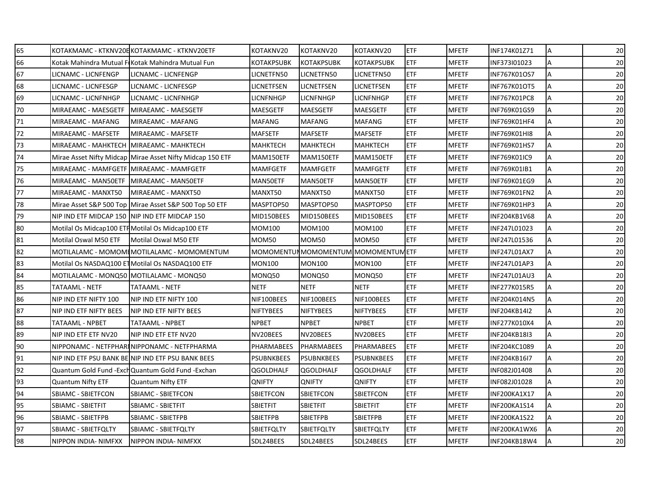| 65 |                                               | KOTAKMAMC - KTKNV20EKOTAKMAMC - KTKNV20ETF                | KOTAKNV20         | KOTAKNV20                            | KOTAKNV20         | <b>ETF</b> | <b>MFETF</b> | INF174K01Z71 | Α | 20 |
|----|-----------------------------------------------|-----------------------------------------------------------|-------------------|--------------------------------------|-------------------|------------|--------------|--------------|---|----|
| 66 |                                               | Kotak Mahindra Mutual FIKotak Mahindra Mutual Fun         | <b>KOTAKPSUBK</b> | <b>KOTAKPSUBK</b>                    | <b>KOTAKPSUBK</b> | <b>ETF</b> | <b>MFETF</b> | INF373I01023 | А | 20 |
| 67 | LICNAMC - LICNFENGP                           | <b>LICNAMC - LICNFENGP</b>                                | LICNETFN50        | LICNETFN50                           | LICNETFN50        | ETF        | <b>MFETF</b> | INF767K01OS7 | Α | 20 |
| 68 | LICNAMC - LICNFESGP                           | LICNAMC - LICNFESGP                                       | LICNETFSEN        | LICNETFSEN                           | LICNETFSEN        | <b>ETF</b> | <b>MFETF</b> | INF767K01OT5 | Α | 20 |
| 69 | LICNAMC - LICNFNHGP                           | LICNAMC - LICNFNHGP                                       | LICNFNHGP         | LICNFNHGP                            | LICNFNHGP         | <b>ETF</b> | <b>MFETF</b> | INF767K01PC8 | A | 20 |
| 70 | MIRAEAMC - MAESGETF                           | MIRAEAMC - MAESGETF                                       | <b>MAESGETF</b>   | <b>MAESGETF</b>                      | <b>MAESGETF</b>   | <b>ETF</b> | <b>MFETF</b> | INF769K01GS9 | А | 20 |
| 71 | MIRAEAMC - MAFANG                             | MIRAEAMC - MAFANG                                         | <b>MAFANG</b>     | <b>MAFANG</b>                        | <b>MAFANG</b>     | ETF        | <b>MFETF</b> | INF769K01HF4 | A | 20 |
| 72 | MIRAEAMC - MAFSETF                            | MIRAEAMC - MAFSETF                                        | <b>MAFSETF</b>    | <b>MAFSETF</b>                       | <b>MAFSETF</b>    | ETF        | <b>MFETF</b> | INF769K01HI8 | A | 20 |
| 73 | MIRAEAMC - MAHKTECH   MIRAEAMC - MAHKTECH     |                                                           | <b>MAHKTECH</b>   | MAHKTECH                             | <b>MAHKTECH</b>   | ETF        | <b>MFETF</b> | INF769K01HS7 | Α | 20 |
| 74 |                                               | Mirae Asset Nifty Midcap Mirae Asset Nifty Midcap 150 ETF | MAM150ETF         | MAM150ETF                            | MAM150ETF         | <b>ETF</b> | <b>MFETF</b> | INF769K01IC9 | А | 20 |
| 75 |                                               | MIRAEAMC - MAMFGETF MIRAEAMC - MAMFGETF                   | <b>MAMFGETF</b>   | <b>MAMFGETF</b>                      | <b>MAMFGETF</b>   | <b>ETF</b> | <b>MFETF</b> | INF769K01IB1 | А | 20 |
| 76 | MIRAEAMC - MAN50ETF MIRAEAMC - MAN50ETF       |                                                           | MAN50ETF          | MAN50ETF                             | MAN50ETF          | <b>ETF</b> | <b>MFETF</b> | INF769K01EG9 | Α | 20 |
| 77 | MIRAEAMC - MANXT50                            | MIRAEAMC - MANXT50                                        | MANXT50           | MANXT50                              | MANXT50           | <b>ETF</b> | <b>MFETF</b> | INF769K01FN2 | A | 20 |
| 78 |                                               | Mirae Asset S&P 500 Top Mirae Asset S&P 500 Top 50 ETF    | MASPTOP50         | MASPTOP50                            | MASPTOP50         | ETF        | <b>MFETF</b> | INF769K01HP3 | А | 20 |
| 79 | NIP IND ETF MIDCAP 150 NIP IND ETF MIDCAP 150 |                                                           | MID150BEES        | MID150BEES                           | MID150BEES        | <b>ETF</b> | <b>MFETF</b> | INF204KB1V68 | Α | 20 |
| 80 |                                               | Motilal Os Midcap100 ETH Motilal Os Midcap100 ETF         | <b>MOM100</b>     | <b>MOM100</b>                        | MOM100            | <b>ETF</b> | <b>MFETF</b> | INF247L01023 | Α | 20 |
| 81 | Motilal Oswal M50 ETF                         | Motilal Oswal M50 ETF                                     | <b>MOM50</b>      | MOM50                                | MOM50             | ETF        | <b>MFETF</b> | INF247L01536 | Α | 20 |
| 82 |                                               | MOTILALAMC - MOMOMI MOTILALAMC - MOMOMENTUM               |                   | MOMOMENTUM MOMOMENTUM MOMOMENTUM ETF |                   |            | <b>MFETF</b> | INF247L01AX7 | Α | 20 |
| 83 |                                               | Motilal Os NASDAQ100 ET Motilal Os NASDAQ100 ETF          | <b>MON100</b>     | <b>MON100</b>                        | <b>MON100</b>     | ETF        | <b>MFETF</b> | INF247L01AP3 | Α | 20 |
| 84 | MOTILALAMC - MONQ50 MOTILALAMC - MONQ50       |                                                           | MONQ50            | MONQ50                               | MONQ50            | ETF        | <b>MFETF</b> | INF247L01AU3 | A | 20 |
| 85 | TATAAML - NETF                                | TATAAML - NETF                                            | <b>NETF</b>       | NETF                                 | NETF              | ETF        | <b>MFETF</b> | INF277K015R5 | Α | 20 |
| 86 | NIP IND ETF NIFTY 100                         | NIP IND ETF NIFTY 100                                     | NIF100BEES        | NIF100BEES                           | NIF100BEES        | ETF        | <b>MFETF</b> | INF204K014N5 | Α | 20 |
| 87 | <b>NIP IND ETF NIFTY BEES</b>                 | NIP IND ETF NIFTY BEES                                    | <b>NIFTYBEES</b>  | <b>NIFTYBEES</b>                     | <b>NIFTYBEES</b>  | <b>ETF</b> | <b>MFETF</b> | INF204KB14I2 | A | 20 |
| 88 | TATAAML - NPBET                               | TATAAML - NPBET                                           | <b>NPBET</b>      | <b>NPBET</b>                         | <b>NPBET</b>      | ETF        | <b>MFETF</b> | INF277K010X4 | А | 20 |
| 89 | NIP IND ETF ETF NV20                          | NIP IND ETF ETF NV20                                      | NV20BEES          | NV20BEES                             | NV20BEES          | ETF        | <b>MFETF</b> | INF204KB18I3 | Α | 20 |
| 90 |                                               | NIPPONAMC - NETFPHARINIPPONAMC - NETFPHARMA               | PHARMABEES        | <b>PHARMABEES</b>                    | <b>PHARMABEES</b> | <b>ETF</b> | <b>MFETF</b> | INF204KC1089 | А | 20 |
| 91 |                                               | NIP IND ETF PSU BANK BEINIP IND ETF PSU BANK BEES         | <b>PSUBNKBEES</b> | <b>PSUBNKBEES</b>                    | <b>PSUBNKBEES</b> | <b>ETF</b> | <b>MFETF</b> | INF204KB16I7 | А | 20 |
| 92 |                                               | Quantum Gold Fund - Exch Quantum Gold Fund - Exchan       | <b>QGOLDHALF</b>  | <b>QGOLDHALF</b>                     | <b>QGOLDHALF</b>  | <b>ETF</b> | <b>MFETF</b> | INF082J01408 | A | 20 |
| 93 | Quantum Nifty ETF                             | <b>Quantum Nifty ETF</b>                                  | <b>QNIFTY</b>     | <b>QNIFTY</b>                        | <b>QNIFTY</b>     | ETF        | <b>MFETF</b> | INF082J01028 | Α | 20 |
| 94 | <b>SBIAMC - SBIETFCON</b>                     | SBIAMC - SBIETFCON                                        | <b>SBIETFCON</b>  | SBIETFCON                            | <b>SBIETFCON</b>  | ETF        | <b>MFETF</b> | INF200KA1X17 | A | 20 |
| 95 | SBIAMC - SBIETFIT                             | SBIAMC - SBIETFIT                                         | SBIETFIT          | SBIETFIT                             | SBIETFIT          | <b>ETF</b> | <b>MFETF</b> | INF200KA1S14 | Α | 20 |
| 96 | SBIAMC - SBIETFPB                             | SBIAMC - SBIETFPB                                         | SBIETFPB          | <b>SBIETFPB</b>                      | <b>SBIETFPB</b>   | ETF        | <b>MFETF</b> | INF200KA1S22 | А | 20 |
| 97 | SBIAMC - SBIETFQLTY                           | SBIAMC - SBIETFQLTY                                       | <b>SBIETFQLTY</b> | SBIETFQLTY                           | <b>SBIETFQLTY</b> | <b>ETF</b> | <b>MFETF</b> | INF200KA1WX6 | Α | 20 |
| 98 | NIPPON INDIA- NIMFXX                          | NIPPON INDIA- NIMFXX                                      | SDL24BEES         | SDL24BEES                            | SDL24BEES         | <b>ETF</b> | <b>MFETF</b> | INF204KB18W4 | Α | 20 |